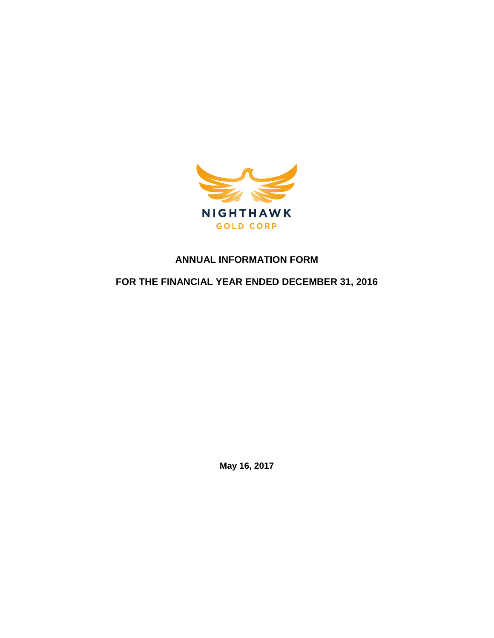

# **ANNUAL INFORMATION FORM**

**FOR THE FINANCIAL YEAR ENDED DECEMBER 31, 2016**

**May 16, 2017**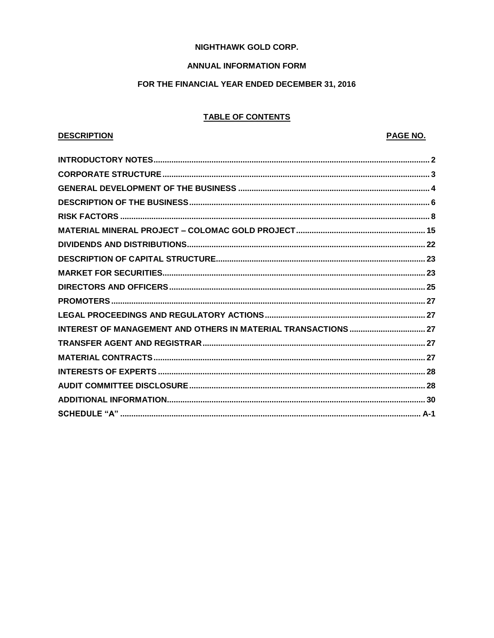## **NIGHTHAWK GOLD CORP.**

## **ANNUAL INFORMATION FORM**

## FOR THE FINANCIAL YEAR ENDED DECEMBER 31, 2016

# **TABLE OF CONTENTS**

# **DESCRIPTION**

# **PAGE NO.**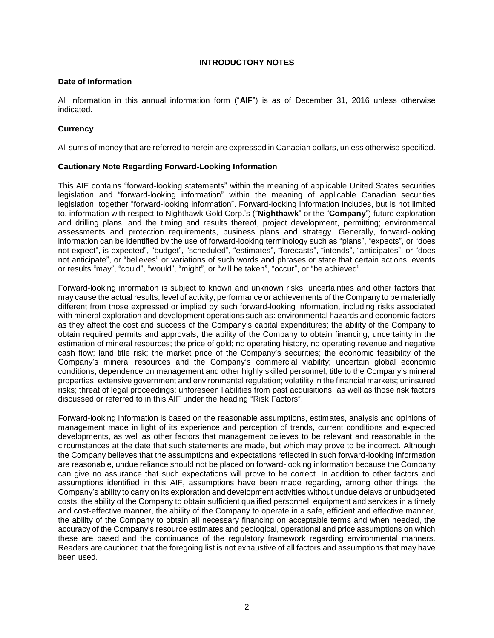# **INTRODUCTORY NOTES**

### <span id="page-2-0"></span>**Date of Information**

All information in this annual information form ("**AIF**") is as of December 31, 2016 unless otherwise indicated.

# **Currency**

All sums of money that are referred to herein are expressed in Canadian dollars, unless otherwise specified.

## **Cautionary Note Regarding Forward-Looking Information**

This AIF contains "forward-looking statements" within the meaning of applicable United States securities legislation and "forward-looking information" within the meaning of applicable Canadian securities legislation, together "forward-looking information". Forward-looking information includes, but is not limited to, information with respect to Nighthawk Gold Corp.'s ("**Nighthawk**" or the "**Company**") future exploration and drilling plans, and the timing and results thereof, project development, permitting; environmental assessments and protection requirements, business plans and strategy. Generally, forward-looking information can be identified by the use of forward-looking terminology such as "plans", "expects", or "does not expect", is expected", "budget", "scheduled", "estimates", "forecasts", "intends", "anticipates", or "does not anticipate", or "believes" or variations of such words and phrases or state that certain actions, events or results "may", "could", "would", "might", or "will be taken", "occur", or "be achieved".

Forward-looking information is subject to known and unknown risks, uncertainties and other factors that may cause the actual results, level of activity, performance or achievements of the Company to be materially different from those expressed or implied by such forward-looking information, including risks associated with mineral exploration and development operations such as: environmental hazards and economic factors as they affect the cost and success of the Company's capital expenditures; the ability of the Company to obtain required permits and approvals; the ability of the Company to obtain financing; uncertainty in the estimation of mineral resources; the price of gold; no operating history, no operating revenue and negative cash flow; land title risk; the market price of the Company's securities; the economic feasibility of the Company's mineral resources and the Company's commercial viability; uncertain global economic conditions; dependence on management and other highly skilled personnel; title to the Company's mineral properties; extensive government and environmental regulation; volatility in the financial markets; uninsured risks; threat of legal proceedings; unforeseen liabilities from past acquisitions, as well as those risk factors discussed or referred to in this AIF under the heading "Risk Factors".

Forward-looking information is based on the reasonable assumptions, estimates, analysis and opinions of management made in light of its experience and perception of trends, current conditions and expected developments, as well as other factors that management believes to be relevant and reasonable in the circumstances at the date that such statements are made, but which may prove to be incorrect. Although the Company believes that the assumptions and expectations reflected in such forward-looking information are reasonable, undue reliance should not be placed on forward-looking information because the Company can give no assurance that such expectations will prove to be correct. In addition to other factors and assumptions identified in this AIF, assumptions have been made regarding, among other things: the Company's ability to carry on its exploration and development activities without undue delays or unbudgeted costs, the ability of the Company to obtain sufficient qualified personnel, equipment and services in a timely and cost-effective manner, the ability of the Company to operate in a safe, efficient and effective manner, the ability of the Company to obtain all necessary financing on acceptable terms and when needed, the accuracy of the Company's resource estimates and geological, operational and price assumptions on which these are based and the continuance of the regulatory framework regarding environmental manners. Readers are cautioned that the foregoing list is not exhaustive of all factors and assumptions that may have been used.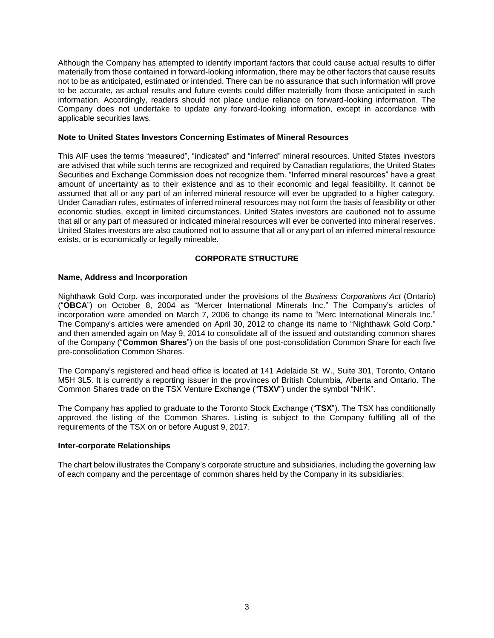Although the Company has attempted to identify important factors that could cause actual results to differ materially from those contained in forward-looking information, there may be other factors that cause results not to be as anticipated, estimated or intended. There can be no assurance that such information will prove to be accurate, as actual results and future events could differ materially from those anticipated in such information. Accordingly, readers should not place undue reliance on forward-looking information. The Company does not undertake to update any forward-looking information, except in accordance with applicable securities laws.

### **Note to United States Investors Concerning Estimates of Mineral Resources**

This AIF uses the terms "measured", "indicated" and "inferred" mineral resources. United States investors are advised that while such terms are recognized and required by Canadian regulations, the United States Securities and Exchange Commission does not recognize them. "Inferred mineral resources" have a great amount of uncertainty as to their existence and as to their economic and legal feasibility. It cannot be assumed that all or any part of an inferred mineral resource will ever be upgraded to a higher category. Under Canadian rules, estimates of inferred mineral resources may not form the basis of feasibility or other economic studies, except in limited circumstances. United States investors are cautioned not to assume that all or any part of measured or indicated mineral resources will ever be converted into mineral reserves. United States investors are also cautioned not to assume that all or any part of an inferred mineral resource exists, or is economically or legally mineable.

### **CORPORATE STRUCTURE**

### <span id="page-3-0"></span>**Name, Address and Incorporation**

Nighthawk Gold Corp. was incorporated under the provisions of the *Business Corporations Act* (Ontario) ("**OBCA**") on October 8, 2004 as "Mercer International Minerals Inc." The Company's articles of incorporation were amended on March 7, 2006 to change its name to "Merc International Minerals Inc." The Company's articles were amended on April 30, 2012 to change its name to "Nighthawk Gold Corp." and then amended again on May 9, 2014 to consolidate all of the issued and outstanding common shares of the Company ("**Common Shares**") on the basis of one post-consolidation Common Share for each five pre-consolidation Common Shares.

The Company's registered and head office is located at 141 Adelaide St. W., Suite 301, Toronto, Ontario M5H 3L5. It is currently a reporting issuer in the provinces of British Columbia, Alberta and Ontario. The Common Shares trade on the TSX Venture Exchange ("**TSXV**") under the symbol "NHK".

The Company has applied to graduate to the Toronto Stock Exchange ("**TSX**"). The TSX has conditionally approved the listing of the Common Shares. Listing is subject to the Company fulfilling all of the requirements of the TSX on or before August 9, 2017.

### **Inter-corporate Relationships**

The chart below illustrates the Company's corporate structure and subsidiaries, including the governing law of each company and the percentage of common shares held by the Company in its subsidiaries: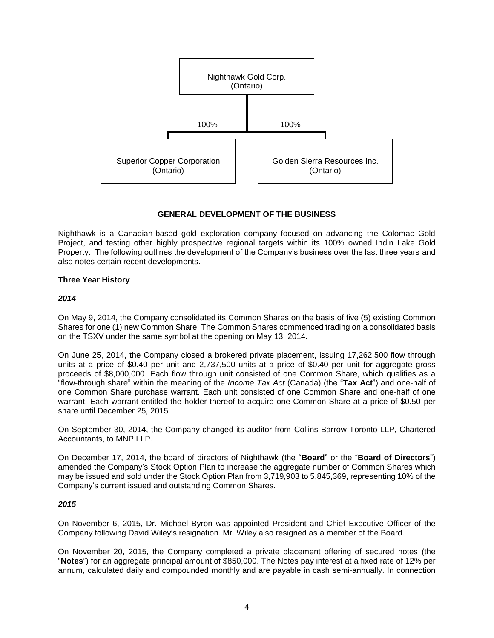

# **GENERAL DEVELOPMENT OF THE BUSINESS**

<span id="page-4-0"></span>Nighthawk is a Canadian-based gold exploration company focused on advancing the Colomac Gold Project, and testing other highly prospective regional targets within its 100% owned Indin Lake Gold Property. The following outlines the development of the Company's business over the last three years and also notes certain recent developments.

# **Three Year History**

## *2014*

On May 9, 2014, the Company consolidated its Common Shares on the basis of five (5) existing Common Shares for one (1) new Common Share. The Common Shares commenced trading on a consolidated basis on the TSXV under the same symbol at the opening on May 13, 2014.

On June 25, 2014, the Company closed a brokered private placement, issuing 17,262,500 flow through units at a price of \$0.40 per unit and 2,737,500 units at a price of \$0.40 per unit for aggregate gross proceeds of \$8,000,000. Each flow through unit consisted of one Common Share, which qualifies as a "flow-through share" within the meaning of the *Income Tax Act* (Canada) (the "**Tax Act**") and one-half of one Common Share purchase warrant. Each unit consisted of one Common Share and one-half of one warrant. Each warrant entitled the holder thereof to acquire one Common Share at a price of \$0.50 per share until December 25, 2015.

On September 30, 2014, the Company changed its auditor from Collins Barrow Toronto LLP, Chartered Accountants, to MNP LLP.

On December 17, 2014, the board of directors of Nighthawk (the "**Board**" or the "**Board of Directors**") amended the Company's Stock Option Plan to increase the aggregate number of Common Shares which may be issued and sold under the Stock Option Plan from 3,719,903 to 5,845,369, representing 10% of the Company's current issued and outstanding Common Shares.

# *2015*

On November 6, 2015, Dr. Michael Byron was appointed President and Chief Executive Officer of the Company following David Wiley's resignation. Mr. Wiley also resigned as a member of the Board.

On November 20, 2015, the Company completed a private placement offering of secured notes (the "**Notes**") for an aggregate principal amount of \$850,000. The Notes pay interest at a fixed rate of 12% per annum, calculated daily and compounded monthly and are payable in cash semi-annually. In connection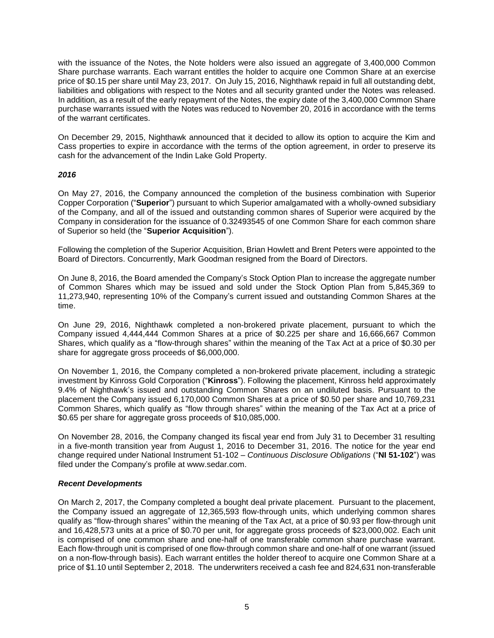with the issuance of the Notes, the Note holders were also issued an aggregate of 3,400,000 Common Share purchase warrants. Each warrant entitles the holder to acquire one Common Share at an exercise price of \$0.15 per share until May 23, 2017. On July 15, 2016, Nighthawk repaid in full all outstanding debt, liabilities and obligations with respect to the Notes and all security granted under the Notes was released. In addition, as a result of the early repayment of the Notes, the expiry date of the 3,400,000 Common Share purchase warrants issued with the Notes was reduced to November 20, 2016 in accordance with the terms of the warrant certificates.

On December 29, 2015, Nighthawk announced that it decided to allow its option to acquire the Kim and Cass properties to expire in accordance with the terms of the option agreement, in order to preserve its cash for the advancement of the Indin Lake Gold Property.

## *2016*

On May 27, 2016, the Company announced the completion of the business combination with Superior Copper Corporation ("**Superior**") pursuant to which Superior amalgamated with a wholly‐owned subsidiary of the Company, and all of the issued and outstanding common shares of Superior were acquired by the Company in consideration for the issuance of 0.32493545 of one Common Share for each common share of Superior so held (the "**Superior Acquisition**").

Following the completion of the Superior Acquisition, Brian Howlett and Brent Peters were appointed to the Board of Directors. Concurrently, Mark Goodman resigned from the Board of Directors.

On June 8, 2016, the Board amended the Company's Stock Option Plan to increase the aggregate number of Common Shares which may be issued and sold under the Stock Option Plan from 5,845,369 to 11,273,940, representing 10% of the Company's current issued and outstanding Common Shares at the time.

On June 29, 2016, Nighthawk completed a non-brokered private placement, pursuant to which the Company issued 4,444,444 Common Shares at a price of \$0.225 per share and 16,666,667 Common Shares, which qualify as a "flow-through shares" within the meaning of the Tax Act at a price of \$0.30 per share for aggregate gross proceeds of \$6,000,000.

On November 1, 2016, the Company completed a non-brokered private placement, including a strategic investment by Kinross Gold Corporation ("**Kinross**"). Following the placement, Kinross held approximately 9.4% of Nighthawk's issued and outstanding Common Shares on an undiluted basis. Pursuant to the placement the Company issued 6,170,000 Common Shares at a price of \$0.50 per share and 10,769,231 Common Shares, which qualify as "flow through shares" within the meaning of the Tax Act at a price of \$0.65 per share for aggregate gross proceeds of \$10,085,000.

On November 28, 2016, the Company changed its fiscal year end from July 31 to December 31 resulting in a five-month transition year from August 1, 2016 to December 31, 2016. The notice for the year end change required under National Instrument 51-102 – *Continuous Disclosure Obligations* ("**NI 51-102**") was filed under the Company's profile at www.sedar.com.

### *Recent Developments*

On March 2, 2017, the Company completed a bought deal private placement. Pursuant to the placement, the Company issued an aggregate of 12,365,593 flow-through units, which underlying common shares qualify as "flow-through shares" within the meaning of the Tax Act, at a price of \$0.93 per flow-through unit and 16,428,573 units at a price of \$0.70 per unit, for aggregate gross proceeds of \$23,000,002. Each unit is comprised of one common share and one-half of one transferable common share purchase warrant. Each flow-through unit is comprised of one flow-through common share and one-half of one warrant (issued on a non-flow-through basis). Each warrant entitles the holder thereof to acquire one Common Share at a price of \$1.10 until September 2, 2018. The underwriters received a cash fee and 824,631 non-transferable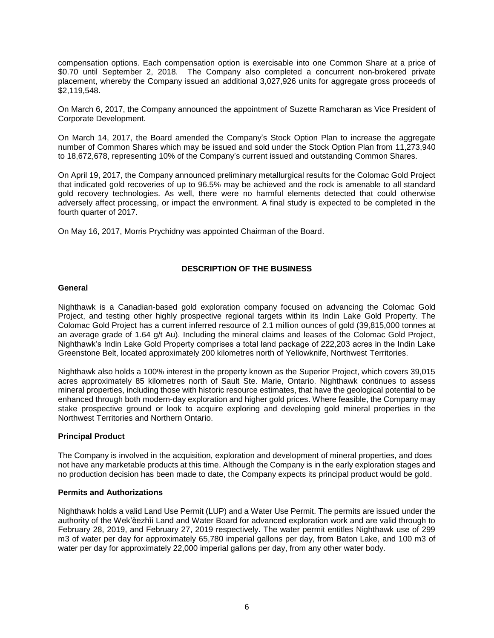compensation options. Each compensation option is exercisable into one Common Share at a price of \$0.70 until September 2, 2018. The Company also completed a concurrent non-brokered private placement, whereby the Company issued an additional 3,027,926 units for aggregate gross proceeds of \$2,119,548.

On March 6, 2017, the Company announced the appointment of Suzette Ramcharan as Vice President of Corporate Development.

On March 14, 2017, the Board amended the Company's Stock Option Plan to increase the aggregate number of Common Shares which may be issued and sold under the Stock Option Plan from 11,273,940 to 18,672,678, representing 10% of the Company's current issued and outstanding Common Shares.

On April 19, 2017, the Company announced preliminary metallurgical results for the Colomac Gold Project that indicated gold recoveries of up to 96.5% may be achieved and the rock is amenable to all standard gold recovery technologies. As well, there were no harmful elements detected that could otherwise adversely affect processing, or impact the environment. A final study is expected to be completed in the fourth quarter of 2017.

<span id="page-6-0"></span>On May 16, 2017, Morris Prychidny was appointed Chairman of the Board.

# **DESCRIPTION OF THE BUSINESS**

### **General**

Nighthawk is a Canadian-based gold exploration company focused on advancing the Colomac Gold Project, and testing other highly prospective regional targets within its Indin Lake Gold Property. The Colomac Gold Project has a current inferred resource of 2.1 million ounces of gold (39,815,000 tonnes at an average grade of 1.64 g/t Au). Including the mineral claims and leases of the Colomac Gold Project, Nighthawk's Indin Lake Gold Property comprises a total land package of 222,203 acres in the Indin Lake Greenstone Belt, located approximately 200 kilometres north of Yellowknife, Northwest Territories.

Nighthawk also holds a 100% interest in the property known as the Superior Project, which covers 39,015 acres approximately 85 kilometres north of Sault Ste. Marie, Ontario. Nighthawk continues to assess mineral properties, including those with historic resource estimates, that have the geological potential to be enhanced through both modern-day exploration and higher gold prices. Where feasible, the Company may stake prospective ground or look to acquire exploring and developing gold mineral properties in the Northwest Territories and Northern Ontario.

### **Principal Product**

The Company is involved in the acquisition, exploration and development of mineral properties, and does not have any marketable products at this time. Although the Company is in the early exploration stages and no production decision has been made to date, the Company expects its principal product would be gold.

## **Permits and Authorizations**

Nighthawk holds a valid Land Use Permit (LUP) and a Water Use Permit. The permits are issued under the authority of the Wek'èezhìi Land and Water Board for advanced exploration work and are valid through to February 28, 2019, and February 27, 2019 respectively. The water permit entitles Nighthawk use of 299 m3 of water per day for approximately 65,780 imperial gallons per day, from Baton Lake, and 100 m3 of water per day for approximately 22,000 imperial gallons per day, from any other water body.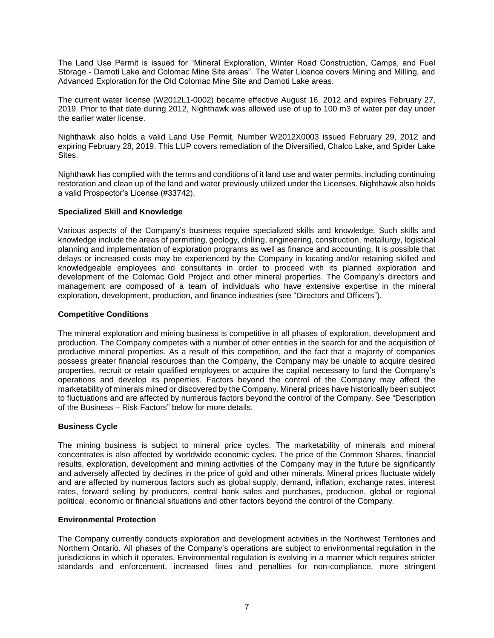The Land Use Permit is issued for "Mineral Exploration, Winter Road Construction, Camps, and Fuel Storage - Damoti Lake and Colomac Mine Site areas". The Water Licence covers Mining and Milling, and Advanced Exploration for the Old Colomac Mine Site and Damoti Lake areas.

The current water license (W2012L1-0002) became effective August 16, 2012 and expires February 27, 2019. Prior to that date during 2012, Nighthawk was allowed use of up to 100 m3 of water per day under the earlier water license.

Nighthawk also holds a valid Land Use Permit, Number W2012X0003 issued February 29, 2012 and expiring February 28, 2019. This LUP covers remediation of the Diversified, Chalco Lake, and Spider Lake Sites.

Nighthawk has complied with the terms and conditions of it land use and water permits, including continuing restoration and clean up of the land and water previously utilized under the Licenses. Nighthawk also holds a valid Prospector's License (#33742).

## **Specialized Skill and Knowledge**

Various aspects of the Company's business require specialized skills and knowledge. Such skills and knowledge include the areas of permitting, geology, drilling, engineering, construction, metallurgy, logistical planning and implementation of exploration programs as well as finance and accounting. It is possible that delays or increased costs may be experienced by the Company in locating and/or retaining skilled and knowledgeable employees and consultants in order to proceed with its planned exploration and development of the Colomac Gold Project and other mineral properties. The Company's directors and management are composed of a team of individuals who have extensive expertise in the mineral exploration, development, production, and finance industries (see "Directors and Officers").

## **Competitive Conditions**

The mineral exploration and mining business is competitive in all phases of exploration, development and production. The Company competes with a number of other entities in the search for and the acquisition of productive mineral properties. As a result of this competition, and the fact that a majority of companies possess greater financial resources than the Company, the Company may be unable to acquire desired properties, recruit or retain qualified employees or acquire the capital necessary to fund the Company's operations and develop its properties. Factors beyond the control of the Company may affect the marketability of minerals mined or discovered by the Company. Mineral prices have historically been subject to fluctuations and are affected by numerous factors beyond the control of the Company. See "Description of the Business – Risk Factors" below for more details.

### **Business Cycle**

The mining business is subject to mineral price cycles. The marketability of minerals and mineral concentrates is also affected by worldwide economic cycles. The price of the Common Shares, financial results, exploration, development and mining activities of the Company may in the future be significantly and adversely affected by declines in the price of gold and other minerals. Mineral prices fluctuate widely and are affected by numerous factors such as global supply, demand, inflation, exchange rates, interest rates, forward selling by producers, central bank sales and purchases, production, global or regional political, economic or financial situations and other factors beyond the control of the Company.

### **Environmental Protection**

The Company currently conducts exploration and development activities in the Northwest Territories and Northern Ontario. All phases of the Company's operations are subject to environmental regulation in the jurisdictions in which it operates. Environmental regulation is evolving in a manner which requires stricter standards and enforcement, increased fines and penalties for non-compliance, more stringent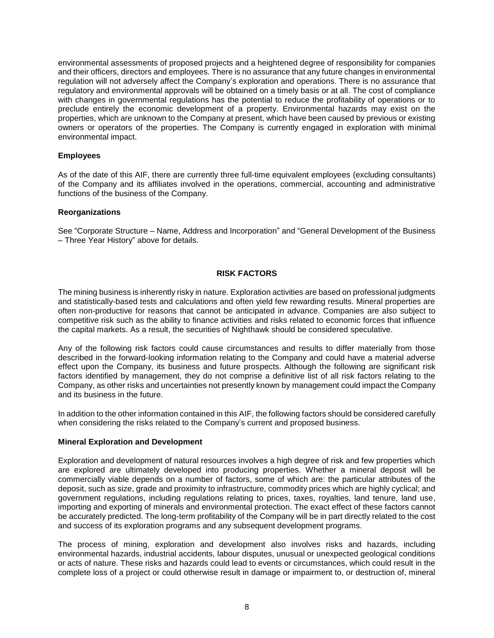environmental assessments of proposed projects and a heightened degree of responsibility for companies and their officers, directors and employees. There is no assurance that any future changes in environmental regulation will not adversely affect the Company's exploration and operations. There is no assurance that regulatory and environmental approvals will be obtained on a timely basis or at all. The cost of compliance with changes in governmental regulations has the potential to reduce the profitability of operations or to preclude entirely the economic development of a property. Environmental hazards may exist on the properties, which are unknown to the Company at present, which have been caused by previous or existing owners or operators of the properties. The Company is currently engaged in exploration with minimal environmental impact.

## **Employees**

As of the date of this AIF, there are currently three full-time equivalent employees (excluding consultants) of the Company and its affiliates involved in the operations, commercial, accounting and administrative functions of the business of the Company.

## **Reorganizations**

<span id="page-8-0"></span>See "Corporate Structure – Name, Address and Incorporation" and "General Development of the Business – Three Year History" above for details.

## **RISK FACTORS**

The mining business is inherently risky in nature. Exploration activities are based on professional judgments and statistically-based tests and calculations and often yield few rewarding results. Mineral properties are often non-productive for reasons that cannot be anticipated in advance. Companies are also subject to competitive risk such as the ability to finance activities and risks related to economic forces that influence the capital markets. As a result, the securities of Nighthawk should be considered speculative.

Any of the following risk factors could cause circumstances and results to differ materially from those described in the forward-looking information relating to the Company and could have a material adverse effect upon the Company, its business and future prospects. Although the following are significant risk factors identified by management, they do not comprise a definitive list of all risk factors relating to the Company, as other risks and uncertainties not presently known by management could impact the Company and its business in the future.

In addition to the other information contained in this AIF, the following factors should be considered carefully when considering the risks related to the Company's current and proposed business.

### **Mineral Exploration and Development**

Exploration and development of natural resources involves a high degree of risk and few properties which are explored are ultimately developed into producing properties. Whether a mineral deposit will be commercially viable depends on a number of factors, some of which are: the particular attributes of the deposit, such as size, grade and proximity to infrastructure, commodity prices which are highly cyclical; and government regulations, including regulations relating to prices, taxes, royalties, land tenure, land use, importing and exporting of minerals and environmental protection. The exact effect of these factors cannot be accurately predicted. The long-term profitability of the Company will be in part directly related to the cost and success of its exploration programs and any subsequent development programs.

The process of mining, exploration and development also involves risks and hazards, including environmental hazards, industrial accidents, labour disputes, unusual or unexpected geological conditions or acts of nature. These risks and hazards could lead to events or circumstances, which could result in the complete loss of a project or could otherwise result in damage or impairment to, or destruction of, mineral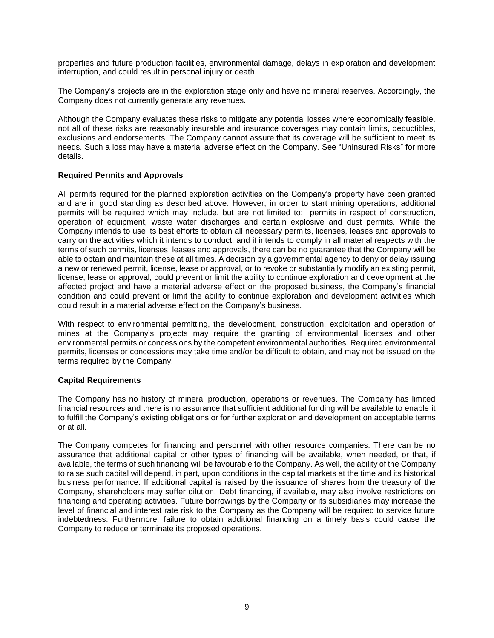properties and future production facilities, environmental damage, delays in exploration and development interruption, and could result in personal injury or death.

The Company's projects are in the exploration stage only and have no mineral reserves. Accordingly, the Company does not currently generate any revenues.

Although the Company evaluates these risks to mitigate any potential losses where economically feasible, not all of these risks are reasonably insurable and insurance coverages may contain limits, deductibles, exclusions and endorsements. The Company cannot assure that its coverage will be sufficient to meet its needs. Such a loss may have a material adverse effect on the Company. See "Uninsured Risks" for more details.

### **Required Permits and Approvals**

All permits required for the planned exploration activities on the Company's property have been granted and are in good standing as described above. However, in order to start mining operations, additional permits will be required which may include, but are not limited to: permits in respect of construction, operation of equipment, waste water discharges and certain explosive and dust permits. While the Company intends to use its best efforts to obtain all necessary permits, licenses, leases and approvals to carry on the activities which it intends to conduct, and it intends to comply in all material respects with the terms of such permits, licenses, leases and approvals, there can be no guarantee that the Company will be able to obtain and maintain these at all times. A decision by a governmental agency to deny or delay issuing a new or renewed permit, license, lease or approval, or to revoke or substantially modify an existing permit, license, lease or approval, could prevent or limit the ability to continue exploration and development at the affected project and have a material adverse effect on the proposed business, the Company's financial condition and could prevent or limit the ability to continue exploration and development activities which could result in a material adverse effect on the Company's business.

With respect to environmental permitting, the development, construction, exploitation and operation of mines at the Company's projects may require the granting of environmental licenses and other environmental permits or concessions by the competent environmental authorities. Required environmental permits, licenses or concessions may take time and/or be difficult to obtain, and may not be issued on the terms required by the Company.

### **Capital Requirements**

The Company has no history of mineral production, operations or revenues. The Company has limited financial resources and there is no assurance that sufficient additional funding will be available to enable it to fulfill the Company's existing obligations or for further exploration and development on acceptable terms or at all.

The Company competes for financing and personnel with other resource companies. There can be no assurance that additional capital or other types of financing will be available, when needed, or that, if available, the terms of such financing will be favourable to the Company. As well, the ability of the Company to raise such capital will depend, in part, upon conditions in the capital markets at the time and its historical business performance. If additional capital is raised by the issuance of shares from the treasury of the Company, shareholders may suffer dilution. Debt financing, if available, may also involve restrictions on financing and operating activities. Future borrowings by the Company or its subsidiaries may increase the level of financial and interest rate risk to the Company as the Company will be required to service future indebtedness. Furthermore, failure to obtain additional financing on a timely basis could cause the Company to reduce or terminate its proposed operations.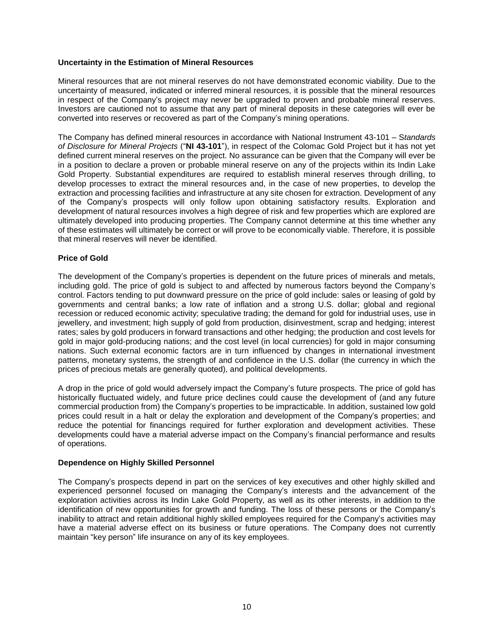## **Uncertainty in the Estimation of Mineral Resources**

Mineral resources that are not mineral reserves do not have demonstrated economic viability. Due to the uncertainty of measured, indicated or inferred mineral resources, it is possible that the mineral resources in respect of the Company's project may never be upgraded to proven and probable mineral reserves. Investors are cautioned not to assume that any part of mineral deposits in these categories will ever be converted into reserves or recovered as part of the Company's mining operations.

The Company has defined mineral resources in accordance with National Instrument 43-101 – S*tandards of Disclosure for Mineral Projects* ("**NI 43-101**"), in respect of the Colomac Gold Project but it has not yet defined current mineral reserves on the project. No assurance can be given that the Company will ever be in a position to declare a proven or probable mineral reserve on any of the projects within its Indin Lake Gold Property. Substantial expenditures are required to establish mineral reserves through drilling, to develop processes to extract the mineral resources and, in the case of new properties, to develop the extraction and processing facilities and infrastructure at any site chosen for extraction. Development of any of the Company's prospects will only follow upon obtaining satisfactory results. Exploration and development of natural resources involves a high degree of risk and few properties which are explored are ultimately developed into producing properties. The Company cannot determine at this time whether any of these estimates will ultimately be correct or will prove to be economically viable. Therefore, it is possible that mineral reserves will never be identified.

## **Price of Gold**

The development of the Company's properties is dependent on the future prices of minerals and metals, including gold. The price of gold is subject to and affected by numerous factors beyond the Company's control. Factors tending to put downward pressure on the price of gold include: sales or leasing of gold by governments and central banks; a low rate of inflation and a strong U.S. dollar; global and regional recession or reduced economic activity; speculative trading; the demand for gold for industrial uses, use in jewellery, and investment; high supply of gold from production, disinvestment, scrap and hedging; interest rates; sales by gold producers in forward transactions and other hedging; the production and cost levels for gold in major gold-producing nations; and the cost level (in local currencies) for gold in major consuming nations. Such external economic factors are in turn influenced by changes in international investment patterns, monetary systems, the strength of and confidence in the U.S. dollar (the currency in which the prices of precious metals are generally quoted), and political developments.

A drop in the price of gold would adversely impact the Company's future prospects. The price of gold has historically fluctuated widely, and future price declines could cause the development of (and any future commercial production from) the Company's properties to be impracticable. In addition, sustained low gold prices could result in a halt or delay the exploration and development of the Company's properties; and reduce the potential for financings required for further exploration and development activities. These developments could have a material adverse impact on the Company's financial performance and results of operations.

### **Dependence on Highly Skilled Personnel**

The Company's prospects depend in part on the services of key executives and other highly skilled and experienced personnel focused on managing the Company's interests and the advancement of the exploration activities across its Indin Lake Gold Property, as well as its other interests, in addition to the identification of new opportunities for growth and funding. The loss of these persons or the Company's inability to attract and retain additional highly skilled employees required for the Company's activities may have a material adverse effect on its business or future operations. The Company does not currently maintain "key person" life insurance on any of its key employees.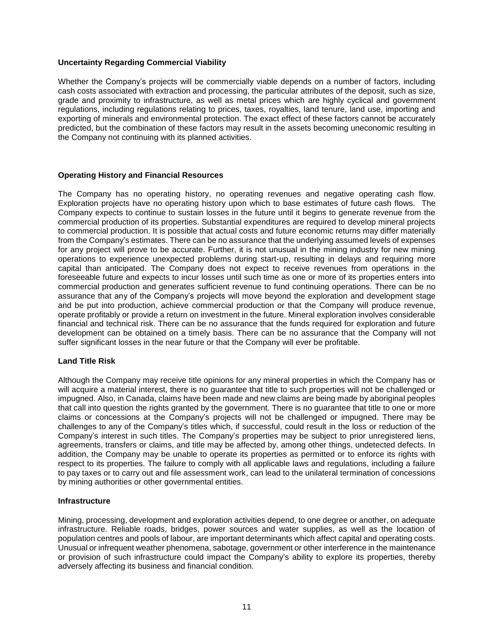## **Uncertainty Regarding Commercial Viability**

Whether the Company's projects will be commercially viable depends on a number of factors, including cash costs associated with extraction and processing, the particular attributes of the deposit, such as size, grade and proximity to infrastructure, as well as metal prices which are highly cyclical and government regulations, including regulations relating to prices, taxes, royalties, land tenure, land use, importing and exporting of minerals and environmental protection. The exact effect of these factors cannot be accurately predicted, but the combination of these factors may result in the assets becoming uneconomic resulting in the Company not continuing with its planned activities.

## **Operating History and Financial Resources**

The Company has no operating history, no operating revenues and negative operating cash flow. Exploration projects have no operating history upon which to base estimates of future cash flows. The Company expects to continue to sustain losses in the future until it begins to generate revenue from the commercial production of its properties. Substantial expenditures are required to develop mineral projects to commercial production. It is possible that actual costs and future economic returns may differ materially from the Company's estimates. There can be no assurance that the underlying assumed levels of expenses for any project will prove to be accurate. Further, it is not unusual in the mining industry for new mining operations to experience unexpected problems during start-up, resulting in delays and requiring more capital than anticipated. The Company does not expect to receive revenues from operations in the foreseeable future and expects to incur losses until such time as one or more of its properties enters into commercial production and generates sufficient revenue to fund continuing operations. There can be no assurance that any of the Company's projects will move beyond the exploration and development stage and be put into production, achieve commercial production or that the Company will produce revenue, operate profitably or provide a return on investment in the future. Mineral exploration involves considerable financial and technical risk. There can be no assurance that the funds required for exploration and future development can be obtained on a timely basis. There can be no assurance that the Company will not suffer significant losses in the near future or that the Company will ever be profitable.

### **Land Title Risk**

Although the Company may receive title opinions for any mineral properties in which the Company has or will acquire a material interest, there is no guarantee that title to such properties will not be challenged or impugned. Also, in Canada, claims have been made and new claims are being made by aboriginal peoples that call into question the rights granted by the government. There is no guarantee that title to one or more claims or concessions at the Company's projects will not be challenged or impugned. There may be challenges to any of the Company's titles which, if successful, could result in the loss or reduction of the Company's interest in such titles. The Company's properties may be subject to prior unregistered liens, agreements, transfers or claims, and title may be affected by, among other things, undetected defects. In addition, the Company may be unable to operate its properties as permitted or to enforce its rights with respect to its properties. The failure to comply with all applicable laws and regulations, including a failure to pay taxes or to carry out and file assessment work, can lead to the unilateral termination of concessions by mining authorities or other governmental entities.

### **Infrastructure**

Mining, processing, development and exploration activities depend, to one degree or another, on adequate infrastructure. Reliable roads, bridges, power sources and water supplies, as well as the location of population centres and pools of labour, are important determinants which affect capital and operating costs. Unusual or infrequent weather phenomena, sabotage, government or other interference in the maintenance or provision of such infrastructure could impact the Company's ability to explore its properties, thereby adversely affecting its business and financial condition.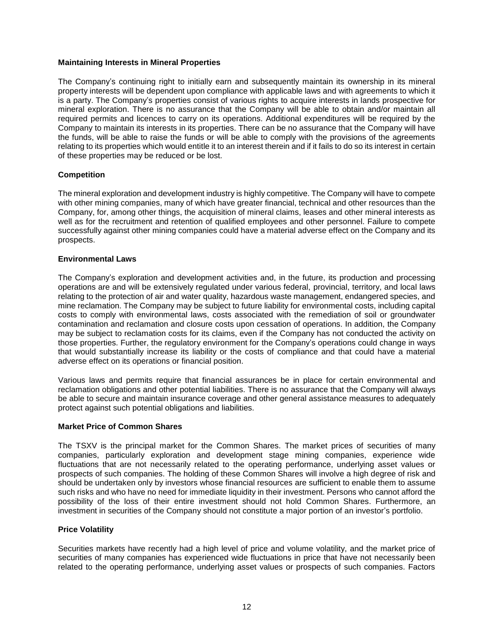### **Maintaining Interests in Mineral Properties**

The Company's continuing right to initially earn and subsequently maintain its ownership in its mineral property interests will be dependent upon compliance with applicable laws and with agreements to which it is a party. The Company's properties consist of various rights to acquire interests in lands prospective for mineral exploration. There is no assurance that the Company will be able to obtain and/or maintain all required permits and licences to carry on its operations. Additional expenditures will be required by the Company to maintain its interests in its properties. There can be no assurance that the Company will have the funds, will be able to raise the funds or will be able to comply with the provisions of the agreements relating to its properties which would entitle it to an interest therein and if it fails to do so its interest in certain of these properties may be reduced or be lost.

## **Competition**

The mineral exploration and development industry is highly competitive. The Company will have to compete with other mining companies, many of which have greater financial, technical and other resources than the Company, for, among other things, the acquisition of mineral claims, leases and other mineral interests as well as for the recruitment and retention of qualified employees and other personnel. Failure to compete successfully against other mining companies could have a material adverse effect on the Company and its prospects.

### **Environmental Laws**

The Company's exploration and development activities and, in the future, its production and processing operations are and will be extensively regulated under various federal, provincial, territory, and local laws relating to the protection of air and water quality, hazardous waste management, endangered species, and mine reclamation. The Company may be subject to future liability for environmental costs, including capital costs to comply with environmental laws, costs associated with the remediation of soil or groundwater contamination and reclamation and closure costs upon cessation of operations. In addition, the Company may be subject to reclamation costs for its claims, even if the Company has not conducted the activity on those properties. Further, the regulatory environment for the Company's operations could change in ways that would substantially increase its liability or the costs of compliance and that could have a material adverse effect on its operations or financial position.

Various laws and permits require that financial assurances be in place for certain environmental and reclamation obligations and other potential liabilities. There is no assurance that the Company will always be able to secure and maintain insurance coverage and other general assistance measures to adequately protect against such potential obligations and liabilities.

# **Market Price of Common Shares**

The TSXV is the principal market for the Common Shares. The market prices of securities of many companies, particularly exploration and development stage mining companies, experience wide fluctuations that are not necessarily related to the operating performance, underlying asset values or prospects of such companies. The holding of these Common Shares will involve a high degree of risk and should be undertaken only by investors whose financial resources are sufficient to enable them to assume such risks and who have no need for immediate liquidity in their investment. Persons who cannot afford the possibility of the loss of their entire investment should not hold Common Shares. Furthermore, an investment in securities of the Company should not constitute a major portion of an investor's portfolio.

### **Price Volatility**

Securities markets have recently had a high level of price and volume volatility, and the market price of securities of many companies has experienced wide fluctuations in price that have not necessarily been related to the operating performance, underlying asset values or prospects of such companies. Factors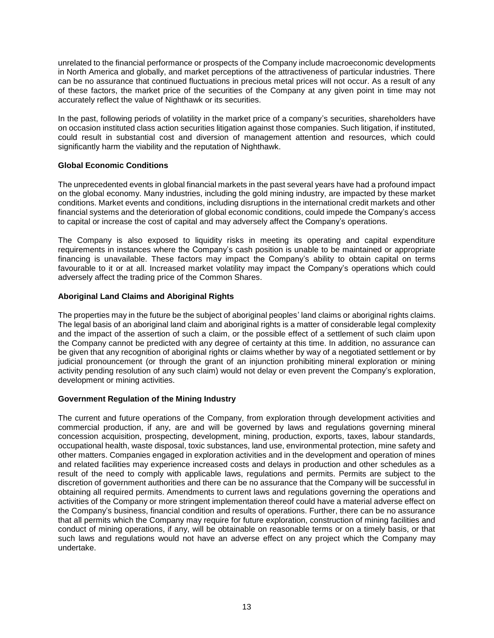unrelated to the financial performance or prospects of the Company include macroeconomic developments in North America and globally, and market perceptions of the attractiveness of particular industries. There can be no assurance that continued fluctuations in precious metal prices will not occur. As a result of any of these factors, the market price of the securities of the Company at any given point in time may not accurately reflect the value of Nighthawk or its securities.

In the past, following periods of volatility in the market price of a company's securities, shareholders have on occasion instituted class action securities litigation against those companies. Such litigation, if instituted, could result in substantial cost and diversion of management attention and resources, which could significantly harm the viability and the reputation of Nighthawk.

# **Global Economic Conditions**

The unprecedented events in global financial markets in the past several years have had a profound impact on the global economy. Many industries, including the gold mining industry, are impacted by these market conditions. Market events and conditions, including disruptions in the international credit markets and other financial systems and the deterioration of global economic conditions, could impede the Company's access to capital or increase the cost of capital and may adversely affect the Company's operations.

The Company is also exposed to liquidity risks in meeting its operating and capital expenditure requirements in instances where the Company's cash position is unable to be maintained or appropriate financing is unavailable. These factors may impact the Company's ability to obtain capital on terms favourable to it or at all. Increased market volatility may impact the Company's operations which could adversely affect the trading price of the Common Shares.

## **Aboriginal Land Claims and Aboriginal Rights**

The properties may in the future be the subject of aboriginal peoples' land claims or aboriginal rights claims. The legal basis of an aboriginal land claim and aboriginal rights is a matter of considerable legal complexity and the impact of the assertion of such a claim, or the possible effect of a settlement of such claim upon the Company cannot be predicted with any degree of certainty at this time. In addition, no assurance can be given that any recognition of aboriginal rights or claims whether by way of a negotiated settlement or by judicial pronouncement (or through the grant of an injunction prohibiting mineral exploration or mining activity pending resolution of any such claim) would not delay or even prevent the Company's exploration, development or mining activities.

# **Government Regulation of the Mining Industry**

The current and future operations of the Company, from exploration through development activities and commercial production, if any, are and will be governed by laws and regulations governing mineral concession acquisition, prospecting, development, mining, production, exports, taxes, labour standards, occupational health, waste disposal, toxic substances, land use, environmental protection, mine safety and other matters. Companies engaged in exploration activities and in the development and operation of mines and related facilities may experience increased costs and delays in production and other schedules as a result of the need to comply with applicable laws, regulations and permits. Permits are subject to the discretion of government authorities and there can be no assurance that the Company will be successful in obtaining all required permits. Amendments to current laws and regulations governing the operations and activities of the Company or more stringent implementation thereof could have a material adverse effect on the Company's business, financial condition and results of operations. Further, there can be no assurance that all permits which the Company may require for future exploration, construction of mining facilities and conduct of mining operations, if any, will be obtainable on reasonable terms or on a timely basis, or that such laws and regulations would not have an adverse effect on any project which the Company may undertake.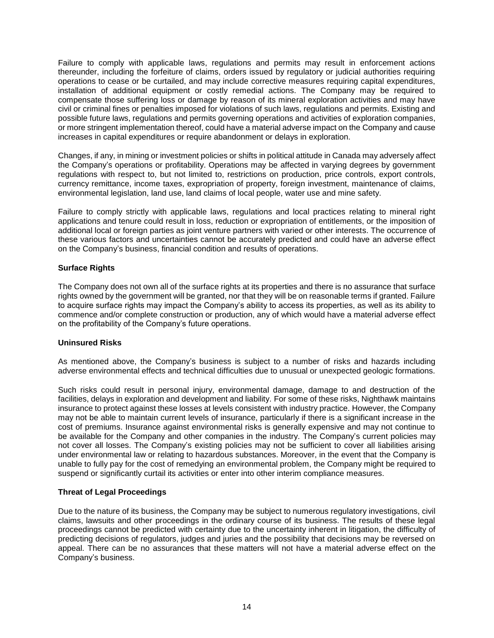Failure to comply with applicable laws, regulations and permits may result in enforcement actions thereunder, including the forfeiture of claims, orders issued by regulatory or judicial authorities requiring operations to cease or be curtailed, and may include corrective measures requiring capital expenditures, installation of additional equipment or costly remedial actions. The Company may be required to compensate those suffering loss or damage by reason of its mineral exploration activities and may have civil or criminal fines or penalties imposed for violations of such laws, regulations and permits. Existing and possible future laws, regulations and permits governing operations and activities of exploration companies, or more stringent implementation thereof, could have a material adverse impact on the Company and cause increases in capital expenditures or require abandonment or delays in exploration.

Changes, if any, in mining or investment policies or shifts in political attitude in Canada may adversely affect the Company's operations or profitability. Operations may be affected in varying degrees by government regulations with respect to, but not limited to, restrictions on production, price controls, export controls, currency remittance, income taxes, expropriation of property, foreign investment, maintenance of claims, environmental legislation, land use, land claims of local people, water use and mine safety.

Failure to comply strictly with applicable laws, regulations and local practices relating to mineral right applications and tenure could result in loss, reduction or expropriation of entitlements, or the imposition of additional local or foreign parties as joint venture partners with varied or other interests. The occurrence of these various factors and uncertainties cannot be accurately predicted and could have an adverse effect on the Company's business, financial condition and results of operations.

# **Surface Rights**

The Company does not own all of the surface rights at its properties and there is no assurance that surface rights owned by the government will be granted, nor that they will be on reasonable terms if granted. Failure to acquire surface rights may impact the Company's ability to access its properties, as well as its ability to commence and/or complete construction or production, any of which would have a material adverse effect on the profitability of the Company's future operations.

# **Uninsured Risks**

As mentioned above, the Company's business is subject to a number of risks and hazards including adverse environmental effects and technical difficulties due to unusual or unexpected geologic formations.

Such risks could result in personal injury, environmental damage, damage to and destruction of the facilities, delays in exploration and development and liability. For some of these risks, Nighthawk maintains insurance to protect against these losses at levels consistent with industry practice. However, the Company may not be able to maintain current levels of insurance, particularly if there is a significant increase in the cost of premiums. Insurance against environmental risks is generally expensive and may not continue to be available for the Company and other companies in the industry. The Company's current policies may not cover all losses. The Company's existing policies may not be sufficient to cover all liabilities arising under environmental law or relating to hazardous substances. Moreover, in the event that the Company is unable to fully pay for the cost of remedying an environmental problem, the Company might be required to suspend or significantly curtail its activities or enter into other interim compliance measures.

# **Threat of Legal Proceedings**

Due to the nature of its business, the Company may be subject to numerous regulatory investigations, civil claims, lawsuits and other proceedings in the ordinary course of its business. The results of these legal proceedings cannot be predicted with certainty due to the uncertainty inherent in litigation, the difficulty of predicting decisions of regulators, judges and juries and the possibility that decisions may be reversed on appeal. There can be no assurances that these matters will not have a material adverse effect on the Company's business.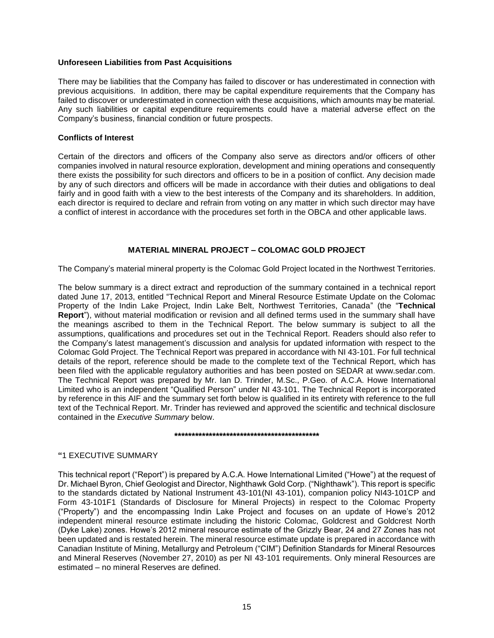### **Unforeseen Liabilities from Past Acquisitions**

There may be liabilities that the Company has failed to discover or has underestimated in connection with previous acquisitions. In addition, there may be capital expenditure requirements that the Company has failed to discover or underestimated in connection with these acquisitions, which amounts may be material. Any such liabilities or capital expenditure requirements could have a material adverse effect on the Company's business, financial condition or future prospects.

## **Conflicts of Interest**

Certain of the directors and officers of the Company also serve as directors and/or officers of other companies involved in natural resource exploration, development and mining operations and consequently there exists the possibility for such directors and officers to be in a position of conflict. Any decision made by any of such directors and officers will be made in accordance with their duties and obligations to deal fairly and in good faith with a view to the best interests of the Company and its shareholders. In addition, each director is required to declare and refrain from voting on any matter in which such director may have a conflict of interest in accordance with the procedures set forth in the OBCA and other applicable laws.

# **MATERIAL MINERAL PROJECT – COLOMAC GOLD PROJECT**

<span id="page-15-0"></span>The Company's material mineral property is the Colomac Gold Project located in the Northwest Territories.

The below summary is a direct extract and reproduction of the summary contained in a technical report dated June 17, 2013, entitled "Technical Report and Mineral Resource Estimate Update on the Colomac Property of the Indin Lake Project, Indin Lake Belt, Northwest Territories, Canada" (the "**Technical Report**"), without material modification or revision and all defined terms used in the summary shall have the meanings ascribed to them in the Technical Report. The below summary is subject to all the assumptions, qualifications and procedures set out in the Technical Report. Readers should also refer to the Company's latest management's discussion and analysis for updated information with respect to the Colomac Gold Project. The Technical Report was prepared in accordance with NI 43-101. For full technical details of the report, reference should be made to the complete text of the Technical Report, which has been filed with the applicable regulatory authorities and has been posted on SEDAR at www.sedar.com. The Technical Report was prepared by Mr. Ian D. Trinder, M.Sc., P.Geo. of A.C.A. Howe International Limited who is an independent "Qualified Person" under NI 43-101. The Technical Report is incorporated by reference in this AIF and the summary set forth below is qualified in its entirety with reference to the full text of the Technical Report. Mr. Trinder has reviewed and approved the scientific and technical disclosure contained in the *Executive Summary* below.

### **\*\*\*\*\*\*\*\*\*\*\*\*\*\*\*\*\*\*\*\*\*\*\*\*\*\*\*\*\*\*\*\*\*\*\*\*\*\*\*\*\*\***

### **"**1 EXECUTIVE SUMMARY

This technical report ("Report") is prepared by A.C.A. Howe International Limited ("Howe") at the request of Dr. Michael Byron, Chief Geologist and Director, Nighthawk Gold Corp. ("Nighthawk"). This report is specific to the standards dictated by National Instrument 43-101(NI 43-101), companion policy NI43-101CP and Form 43-101F1 (Standards of Disclosure for Mineral Projects) in respect to the Colomac Property ("Property") and the encompassing Indin Lake Project and focuses on an update of Howe's 2012 independent mineral resource estimate including the historic Colomac, Goldcrest and Goldcrest North (Dyke Lake) zones. Howe's 2012 mineral resource estimate of the Grizzly Bear, 24 and 27 Zones has not been updated and is restated herein. The mineral resource estimate update is prepared in accordance with Canadian Institute of Mining, Metallurgy and Petroleum ("CIM") Definition Standards for Mineral Resources and Mineral Reserves (November 27, 2010) as per NI 43-101 requirements. Only mineral Resources are estimated – no mineral Reserves are defined.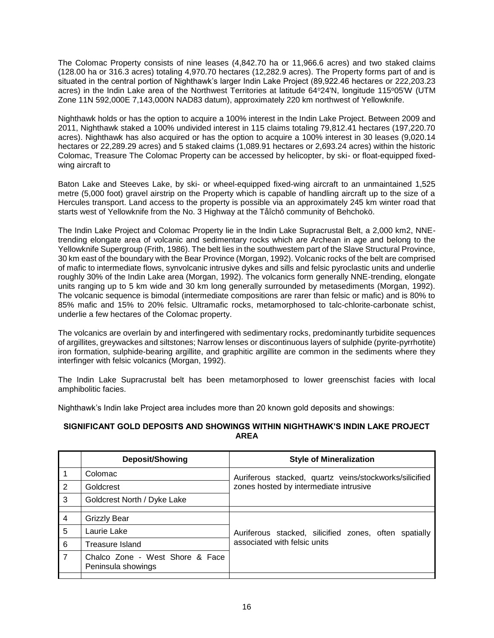The Colomac Property consists of nine leases (4,842.70 ha or 11,966.6 acres) and two staked claims (128.00 ha or 316.3 acres) totaling 4,970.70 hectares (12,282.9 acres). The Property forms part of and is situated in the central portion of Nighthawk's larger Indin Lake Project (89,922.46 hectares or 222,203.23 acres) in the Indin Lake area of the Northwest Territories at latitude 64°24'N, longitude 115°05'W (UTM Zone 11N 592,000E 7,143,000N NAD83 datum), approximately 220 km northwest of Yellowknife.

Nighthawk holds or has the option to acquire a 100% interest in the Indin Lake Project. Between 2009 and 2011, Nighthawk staked a 100% undivided interest in 115 claims totaling 79,812.41 hectares (197,220.70 acres). Nighthawk has also acquired or has the option to acquire a 100% interest in 30 leases (9,020.14 hectares or 22,289.29 acres) and 5 staked claims (1,089.91 hectares or 2,693.24 acres) within the historic Colomac, Treasure The Colomac Property can be accessed by helicopter, by ski- or float-equipped fixedwing aircraft to

Baton Lake and Steeves Lake, by ski- or wheel-equipped fixed-wing aircraft to an unmaintained 1,525 metre (5,000 foot) gravel airstrip on the Property which is capable of handling aircraft up to the size of a Hercules transport. Land access to the property is possible via an approximately 245 km winter road that starts west of Yellowknife from the No. 3 Highway at the Tåîchô community of Behchokö.

The Indin Lake Project and Colomac Property lie in the Indin Lake Supracrustal Belt, a 2,000 km2, NNEtrending elongate area of volcanic and sedimentary rocks which are Archean in age and belong to the Yellowknife Supergroup (Frith, 1986). The belt lies in the southwestem part of the Slave Structural Province, 30 km east of the boundary with the Bear Province (Morgan, 1992). Volcanic rocks of the belt are comprised of mafic to intermediate flows, synvolcanic intrusive dykes and sills and felsic pyroclastic units and underlie roughly 30% of the Indin Lake area (Morgan, 1992). The volcanics form generally NNE-trending, elongate units ranging up to 5 km wide and 30 km long generally surrounded by metasediments (Morgan, 1992). The volcanic sequence is bimodal (intermediate compositions are rarer than felsic or mafic) and is 80% to 85% mafic and 15% to 20% felsic. Ultramafic rocks, metamorphosed to talc-chlorite-carbonate schist, underlie a few hectares of the Colomac property.

The volcanics are overlain by and interfingered with sedimentary rocks, predominantly turbidite sequences of argillites, greywackes and siltstones; Narrow lenses or discontinuous layers of sulphide (pyrite-pyrrhotite) iron formation, sulphide-bearing argillite, and graphitic argillite are common in the sediments where they interfinger with felsic volcanics (Morgan, 1992).

The Indin Lake Supracrustal belt has been metamorphosed to lower greenschist facies with local amphibolitic facies.

Nighthawk's Indin lake Project area includes more than 20 known gold deposits and showings:

## **SIGNIFICANT GOLD DEPOSITS AND SHOWINGS WITHIN NIGHTHAWK'S INDIN LAKE PROJECT AREA**

|                | <b>Deposit/Showing</b>                                | <b>Style of Mineralization</b>                         |  |  |
|----------------|-------------------------------------------------------|--------------------------------------------------------|--|--|
|                | Colomac                                               | Auriferous stacked, quartz veins/stockworks/silicified |  |  |
| 2              | Goldcrest                                             | zones hosted by intermediate intrusive                 |  |  |
| 3              | Goldcrest North / Dyke Lake                           |                                                        |  |  |
|                |                                                       |                                                        |  |  |
| $\overline{4}$ | <b>Grizzly Bear</b>                                   |                                                        |  |  |
| 5              | Laurie Lake                                           | Auriferous stacked, silicified zones, often spatially  |  |  |
| 6              | Treasure Island                                       | associated with felsic units                           |  |  |
| $\overline{7}$ | Chalco Zone - West Shore & Face<br>Peninsula showings |                                                        |  |  |
|                |                                                       |                                                        |  |  |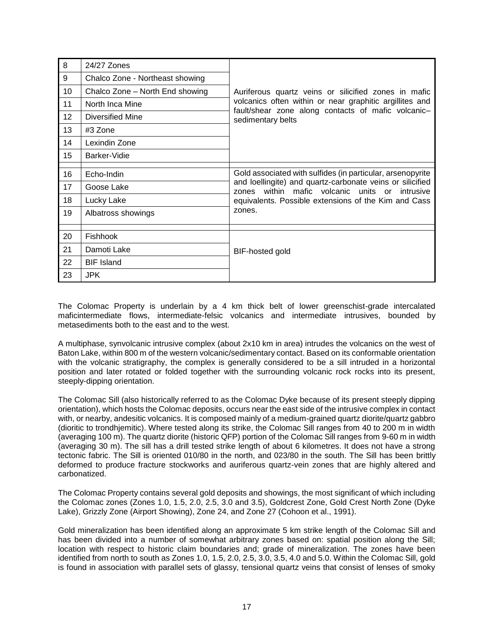| 8               | 24/27 Zones                     |                                                                                                             |
|-----------------|---------------------------------|-------------------------------------------------------------------------------------------------------------|
| 9               | Chalco Zone - Northeast showing |                                                                                                             |
| 10              | Chalco Zone - North End showing | Auriferous quartz veins or silicified zones in mafic                                                        |
| 11              | North Inca Mine                 | volcanics often within or near graphitic argillites and                                                     |
| 12 <sup>2</sup> | Diversified Mine                | fault/shear zone along contacts of mafic volcanic-<br>sedimentary belts                                     |
| 13              | #3 Zone                         |                                                                                                             |
| 14              | Lexindin Zone                   |                                                                                                             |
| 15              | Barker-Vidie                    |                                                                                                             |
|                 |                                 |                                                                                                             |
| 16              | Echo-Indin                      | Gold associated with sulfides (in particular, arsenopyrite                                                  |
| 17              | Goose Lake                      | and loellingite) and quartz-carbonate veins or silicified<br>zones within mafic volcanic units or intrusive |
| 18              | Lucky Lake                      | equivalents. Possible extensions of the Kim and Cass                                                        |
| 19              | Albatross showings              | zones.                                                                                                      |
|                 |                                 |                                                                                                             |
| 20              | <b>Fishhook</b>                 |                                                                                                             |
| 21              | Damoti Lake                     | BIF-hosted gold                                                                                             |
| 22              | <b>BIF Island</b>               |                                                                                                             |
| 23              | <b>JPK</b>                      |                                                                                                             |

The Colomac Property is underlain by a 4 km thick belt of lower greenschist-grade intercalated maficintermediate flows, intermediate-felsic volcanics and intermediate intrusives, bounded by metasediments both to the east and to the west.

A multiphase, synvolcanic intrusive complex (about 2x10 km in area) intrudes the volcanics on the west of Baton Lake, within 800 m of the western volcanic/sedimentary contact. Based on its conformable orientation with the volcanic stratigraphy, the complex is generally considered to be a sill intruded in a horizontal position and later rotated or folded together with the surrounding volcanic rock rocks into its present, steeply-dipping orientation.

The Colomac Sill (also historically referred to as the Colomac Dyke because of its present steeply dipping orientation), which hosts the Colomac deposits, occurs near the east side of the intrusive complex in contact with, or nearby, andesitic volcanics. It is composed mainly of a medium-grained quartz diorite/quartz gabbro (dioritic to trondhjemitic). Where tested along its strike, the Colomac Sill ranges from 40 to 200 m in width (averaging 100 m). The quartz diorite (historic QFP) portion of the Colomac Sill ranges from 9-60 m in width (averaging 30 m). The sill has a drill tested strike length of about 6 kilometres. It does not have a strong tectonic fabric. The Sill is oriented 010/80 in the north, and 023/80 in the south. The Sill has been brittly deformed to produce fracture stockworks and auriferous quartz-vein zones that are highly altered and carbonatized.

The Colomac Property contains several gold deposits and showings, the most significant of which including the Colomac zones (Zones 1.0, 1.5, 2.0, 2.5, 3.0 and 3.5), Goldcrest Zone, Gold Crest North Zone (Dyke Lake), Grizzly Zone (Airport Showing), Zone 24, and Zone 27 (Cohoon et al., 1991).

Gold mineralization has been identified along an approximate 5 km strike length of the Colomac Sill and has been divided into a number of somewhat arbitrary zones based on: spatial position along the Sill; location with respect to historic claim boundaries and; grade of mineralization. The zones have been identified from north to south as Zones 1.0, 1.5, 2.0, 2.5, 3.0, 3.5, 4.0 and 5.0. Within the Colomac Sill, gold is found in association with parallel sets of glassy, tensional quartz veins that consist of lenses of smoky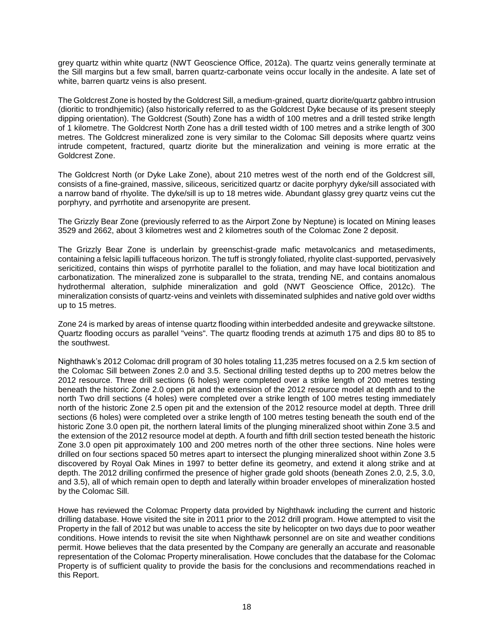grey quartz within white quartz (NWT Geoscience Office, 2012a). The quartz veins generally terminate at the Sill margins but a few small, barren quartz-carbonate veins occur locally in the andesite. A late set of white, barren quartz veins is also present.

The Goldcrest Zone is hosted by the Goldcrest Sill, a medium-grained, quartz diorite/quartz gabbro intrusion (dioritic to trondhjemitic) (also historically referred to as the Goldcrest Dyke because of its present steeply dipping orientation). The Goldcrest (South) Zone has a width of 100 metres and a drill tested strike length of 1 kilometre. The Goldcrest North Zone has a drill tested width of 100 metres and a strike length of 300 metres. The Goldcrest mineralized zone is very similar to the Colomac Sill deposits where quartz veins intrude competent, fractured, quartz diorite but the mineralization and veining is more erratic at the Goldcrest Zone.

The Goldcrest North (or Dyke Lake Zone), about 210 metres west of the north end of the Goldcrest sill, consists of a fine-grained, massive, siliceous, sericitized quartz or dacite porphyry dyke/sill associated with a narrow band of rhyolite. The dyke/sill is up to 18 metres wide. Abundant glassy grey quartz veins cut the porphyry, and pyrrhotite and arsenopyrite are present.

The Grizzly Bear Zone (previously referred to as the Airport Zone by Neptune) is located on Mining leases 3529 and 2662, about 3 kilometres west and 2 kilometres south of the Colomac Zone 2 deposit.

The Grizzly Bear Zone is underlain by greenschist-grade mafic metavolcanics and metasediments, containing a felsic lapilli tuffaceous horizon. The tuff is strongly foliated, rhyolite clast-supported, pervasively sericitized, contains thin wisps of pyrrhotite parallel to the foliation, and may have local biotitization and carbonatization. The mineralized zone is subparallel to the strata, trending NE, and contains anomalous hydrothermal alteration, sulphide mineralization and gold (NWT Geoscience Office, 2012c). The mineralization consists of quartz-veins and veinlets with disseminated sulphides and native gold over widths up to 15 metres.

Zone 24 is marked by areas of intense quartz flooding within interbedded andesite and greywacke siltstone. Quartz flooding occurs as parallel "veins". The quartz flooding trends at azimuth 175 and dips 80 to 85 to the southwest.

Nighthawk's 2012 Colomac drill program of 30 holes totaling 11,235 metres focused on a 2.5 km section of the Colomac Sill between Zones 2.0 and 3.5. Sectional drilling tested depths up to 200 metres below the 2012 resource. Three drill sections (6 holes) were completed over a strike length of 200 metres testing beneath the historic Zone 2.0 open pit and the extension of the 2012 resource model at depth and to the north Two drill sections (4 holes) were completed over a strike length of 100 metres testing immediately north of the historic Zone 2.5 open pit and the extension of the 2012 resource model at depth. Three drill sections (6 holes) were completed over a strike length of 100 metres testing beneath the south end of the historic Zone 3.0 open pit, the northern lateral limits of the plunging mineralized shoot within Zone 3.5 and the extension of the 2012 resource model at depth. A fourth and fifth drill section tested beneath the historic Zone 3.0 open pit approximately 100 and 200 metres north of the other three sections. Nine holes were drilled on four sections spaced 50 metres apart to intersect the plunging mineralized shoot within Zone 3.5 discovered by Royal Oak Mines in 1997 to better define its geometry, and extend it along strike and at depth. The 2012 drilling confirmed the presence of higher grade gold shoots (beneath Zones 2.0, 2.5, 3.0, and 3.5), all of which remain open to depth and laterally within broader envelopes of mineralization hosted by the Colomac Sill.

Howe has reviewed the Colomac Property data provided by Nighthawk including the current and historic drilling database. Howe visited the site in 2011 prior to the 2012 drill program. Howe attempted to visit the Property in the fall of 2012 but was unable to access the site by helicopter on two days due to poor weather conditions. Howe intends to revisit the site when Nighthawk personnel are on site and weather conditions permit. Howe believes that the data presented by the Company are generally an accurate and reasonable representation of the Colomac Property mineralisation. Howe concludes that the database for the Colomac Property is of sufficient quality to provide the basis for the conclusions and recommendations reached in this Report.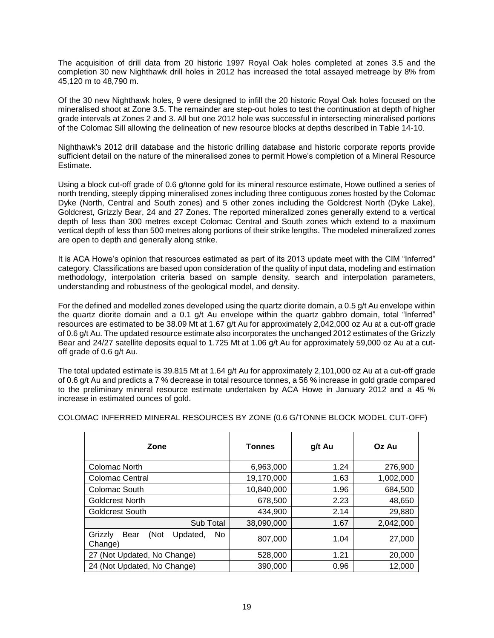The acquisition of drill data from 20 historic 1997 Royal Oak holes completed at zones 3.5 and the completion 30 new Nighthawk drill holes in 2012 has increased the total assayed metreage by 8% from 45,120 m to 48,790 m.

Of the 30 new Nighthawk holes, 9 were designed to infill the 20 historic Royal Oak holes focused on the mineralised shoot at Zone 3.5. The remainder are step-out holes to test the continuation at depth of higher grade intervals at Zones 2 and 3. All but one 2012 hole was successful in intersecting mineralised portions of the Colomac Sill allowing the delineation of new resource blocks at depths described in Table 14-10.

Nighthawk's 2012 drill database and the historic drilling database and historic corporate reports provide sufficient detail on the nature of the mineralised zones to permit Howe's completion of a Mineral Resource Estimate.

Using a block cut-off grade of 0.6 g/tonne gold for its mineral resource estimate, Howe outlined a series of north trending, steeply dipping mineralised zones including three contiguous zones hosted by the Colomac Dyke (North, Central and South zones) and 5 other zones including the Goldcrest North (Dyke Lake), Goldcrest, Grizzly Bear, 24 and 27 Zones. The reported mineralized zones generally extend to a vertical depth of less than 300 metres except Colomac Central and South zones which extend to a maximum vertical depth of less than 500 metres along portions of their strike lengths. The modeled mineralized zones are open to depth and generally along strike.

It is ACA Howe's opinion that resources estimated as part of its 2013 update meet with the CIM "Inferred" category. Classifications are based upon consideration of the quality of input data, modeling and estimation methodology, interpolation criteria based on sample density, search and interpolation parameters, understanding and robustness of the geological model, and density.

For the defined and modelled zones developed using the quartz diorite domain, a 0.5 g/t Au envelope within the quartz diorite domain and a 0.1 g/t Au envelope within the quartz gabbro domain, total "Inferred" resources are estimated to be 38.09 Mt at 1.67 g/t Au for approximately 2,042,000 oz Au at a cut-off grade of 0.6 g/t Au. The updated resource estimate also incorporates the unchanged 2012 estimates of the Grizzly Bear and 24/27 satellite deposits equal to 1.725 Mt at 1.06 g/t Au for approximately 59,000 oz Au at a cutoff grade of 0.6 g/t Au.

The total updated estimate is 39.815 Mt at 1.64 g/t Au for approximately 2,101,000 oz Au at a cut-off grade of 0.6 g/t Au and predicts a 7 % decrease in total resource tonnes, a 56 % increase in gold grade compared to the preliminary mineral resource estimate undertaken by ACA Howe in January 2012 and a 45 % increase in estimated ounces of gold.

| Zone                                                 | <b>Tonnes</b> | g/t Au | Oz Au     |
|------------------------------------------------------|---------------|--------|-----------|
| Colomac North                                        | 6,963,000     | 1.24   | 276,900   |
| <b>Colomac Central</b>                               | 19,170,000    | 1.63   | 1,002,000 |
| Colomac South                                        | 10,840,000    | 1.96   | 684,500   |
| <b>Goldcrest North</b>                               | 678,500       | 2.23   | 48,650    |
| <b>Goldcrest South</b>                               | 434,900       | 2.14   | 29,880    |
| Sub Total                                            | 38,090,000    | 1.67   | 2,042,000 |
| (Not<br>Grizzly<br>Bear<br>Updated,<br>No<br>Change) | 807,000       | 1.04   | 27,000    |
| 27 (Not Updated, No Change)                          | 528,000       | 1.21   | 20,000    |
| 24 (Not Updated, No Change)                          | 390,000       | 0.96   | 12,000    |

COLOMAC INFERRED MINERAL RESOURCES BY ZONE (0.6 G/TONNE BLOCK MODEL CUT-OFF)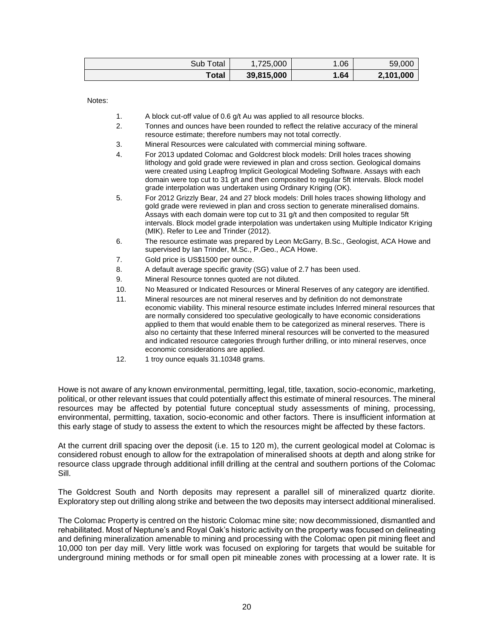| Subl<br>Γotal | 1,725,000  | 1.06 | 59,000    |
|---------------|------------|------|-----------|
| Total         | 39,815,000 | 1.64 | 2,101,000 |

Notes:

1. A block cut-off value of 0.6 g/t Au was applied to all resource blocks.

- 2. Tonnes and ounces have been rounded to reflect the relative accuracy of the mineral resource estimate; therefore numbers may not total correctly.
- 3. Mineral Resources were calculated with commercial mining software.
- 4. For 2013 updated Colomac and Goldcrest block models: Drill holes traces showing lithology and gold grade were reviewed in plan and cross section. Geological domains were created using Leapfrog Implicit Geological Modeling Software. Assays with each domain were top cut to 31 g/t and then composited to regular 5ft intervals. Block model grade interpolation was undertaken using Ordinary Kriging (OK).
- 5. For 2012 Grizzly Bear, 24 and 27 block models: Drill holes traces showing lithology and gold grade were reviewed in plan and cross section to generate mineralised domains. Assays with each domain were top cut to 31 g/t and then composited to regular 5ft intervals. Block model grade interpolation was undertaken using Multiple Indicator Kriging (MIK). Refer to Lee and Trinder (2012).
- 6. The resource estimate was prepared by Leon McGarry, B.Sc., Geologist, ACA Howe and supervised by Ian Trinder, M.Sc., P.Geo., ACA Howe.
- 7. Gold price is US\$1500 per ounce.
- 8. A default average specific gravity (SG) value of 2.7 has been used.
- 9. Mineral Resource tonnes quoted are not diluted.
- 10. No Measured or Indicated Resources or Mineral Reserves of any category are identified.
- 11. Mineral resources are not mineral reserves and by definition do not demonstrate economic viability. This mineral resource estimate includes Inferred mineral resources that are normally considered too speculative geologically to have economic considerations applied to them that would enable them to be categorized as mineral reserves. There is also no certainty that these Inferred mineral resources will be converted to the measured and indicated resource categories through further drilling, or into mineral reserves, once economic considerations are applied.
- 12. 1 troy ounce equals 31.10348 grams.

Howe is not aware of any known environmental, permitting, legal, title, taxation, socio-economic, marketing, political, or other relevant issues that could potentially affect this estimate of mineral resources. The mineral resources may be affected by potential future conceptual study assessments of mining, processing, environmental, permitting, taxation, socio-economic and other factors. There is insufficient information at this early stage of study to assess the extent to which the resources might be affected by these factors.

At the current drill spacing over the deposit (i.e. 15 to 120 m), the current geological model at Colomac is considered robust enough to allow for the extrapolation of mineralised shoots at depth and along strike for resource class upgrade through additional infill drilling at the central and southern portions of the Colomac Sill.

The Goldcrest South and North deposits may represent a parallel sill of mineralized quartz diorite. Exploratory step out drilling along strike and between the two deposits may intersect additional mineralised.

The Colomac Property is centred on the historic Colomac mine site; now decommissioned, dismantled and rehabilitated. Most of Neptune's and Royal Oak's historic activity on the property was focused on delineating and defining mineralization amenable to mining and processing with the Colomac open pit mining fleet and 10,000 ton per day mill. Very little work was focused on exploring for targets that would be suitable for underground mining methods or for small open pit mineable zones with processing at a lower rate. It is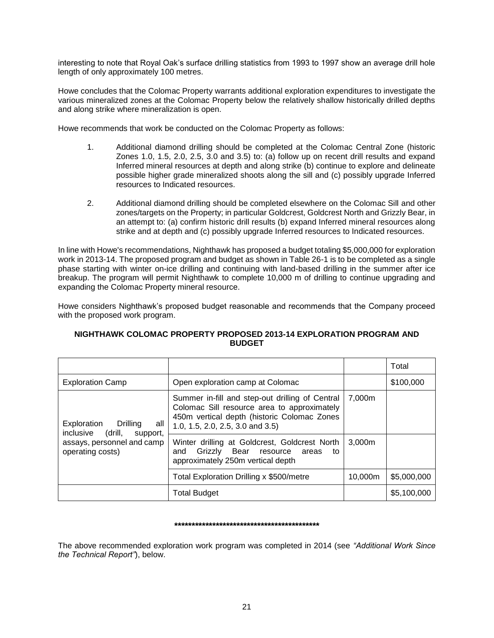interesting to note that Royal Oak's surface drilling statistics from 1993 to 1997 show an average drill hole length of only approximately 100 metres.

Howe concludes that the Colomac Property warrants additional exploration expenditures to investigate the various mineralized zones at the Colomac Property below the relatively shallow historically drilled depths and along strike where mineralization is open.

Howe recommends that work be conducted on the Colomac Property as follows:

- 1. Additional diamond drilling should be completed at the Colomac Central Zone (historic Zones 1.0, 1.5, 2.0, 2.5, 3.0 and 3.5) to: (a) follow up on recent drill results and expand Inferred mineral resources at depth and along strike (b) continue to explore and delineate possible higher grade mineralized shoots along the sill and (c) possibly upgrade Inferred resources to Indicated resources.
- 2. Additional diamond drilling should be completed elsewhere on the Colomac Sill and other zones/targets on the Property; in particular Goldcrest, Goldcrest North and Grizzly Bear, in an attempt to: (a) confirm historic drill results (b) expand Inferred mineral resources along strike and at depth and (c) possibly upgrade Inferred resources to Indicated resources.

In line with Howe's recommendations, Nighthawk has proposed a budget totaling \$5,000,000 for exploration work in 2013-14. The proposed program and budget as shown in Table 26-1 is to be completed as a single phase starting with winter on-ice drilling and continuing with land-based drilling in the summer after ice breakup. The program will permit Nighthawk to complete 10,000 m of drilling to continue upgrading and expanding the Colomac Property mineral resource.

Howe considers Nighthawk's proposed budget reasonable and recommends that the Company proceed with the proposed work program.

|                                                                 |                                                                                                                                                                                   |         | Total       |
|-----------------------------------------------------------------|-----------------------------------------------------------------------------------------------------------------------------------------------------------------------------------|---------|-------------|
| <b>Exploration Camp</b>                                         | Open exploration camp at Colomac                                                                                                                                                  |         | \$100,000   |
| Exploration<br>Drilling<br>all<br>inclusive (drill,<br>support, | Summer in-fill and step-out drilling of Central<br>Colomac Sill resource area to approximately<br>450m vertical depth (historic Colomac Zones<br>1.0, 1.5, 2.0, 2.5, 3.0 and 3.5) | 7,000m  |             |
| assays, personnel and camp<br>operating costs)                  | Winter drilling at Goldcrest, Goldcrest North<br>Grizzly<br>Bear<br>and<br>resource<br>areas<br>to<br>approximately 250m vertical depth                                           | 3,000m  |             |
|                                                                 | Total Exploration Drilling x \$500/metre                                                                                                                                          | 10,000m | \$5,000,000 |
|                                                                 | <b>Total Budget</b>                                                                                                                                                               |         | \$5,100,000 |

# **NIGHTHAWK COLOMAC PROPERTY PROPOSED 2013-14 EXPLORATION PROGRAM AND BUDGET**

### **\*\*\*\*\*\*\*\*\*\*\*\*\*\*\*\*\*\*\*\*\*\*\*\*\*\*\*\*\*\*\*\*\*\*\*\*\*\*\*\*\*\***

The above recommended exploration work program was completed in 2014 (see *"Additional Work Since the Technical Report"*), below.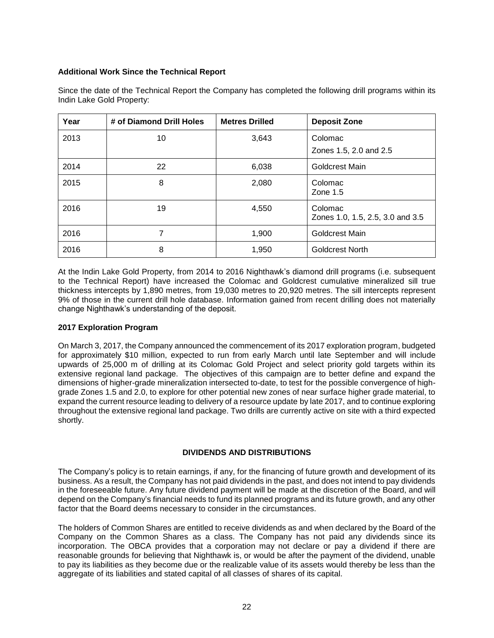## **Additional Work Since the Technical Report**

| Year | # of Diamond Drill Holes | <b>Metres Drilled</b> | <b>Deposit Zone</b>                         |
|------|--------------------------|-----------------------|---------------------------------------------|
| 2013 | 10                       | 3,643                 | Colomac<br>Zones 1.5, 2.0 and 2.5           |
| 2014 | 22                       | 6,038                 | Goldcrest Main                              |
| 2015 | 8                        | 2,080                 | Colomac<br>Zone $1.5$                       |
| 2016 | 19                       | 4,550                 | Colomac<br>Zones 1.0, 1.5, 2.5, 3.0 and 3.5 |
| 2016 | 7                        | 1,900                 | Goldcrest Main                              |
| 2016 | 8                        | 1,950                 | Goldcrest North                             |

Since the date of the Technical Report the Company has completed the following drill programs within its Indin Lake Gold Property:

At the Indin Lake Gold Property, from 2014 to 2016 Nighthawk's diamond drill programs (i.e. subsequent to the Technical Report) have increased the Colomac and Goldcrest cumulative mineralized sill true thickness intercepts by 1,890 metres, from 19,030 metres to 20,920 metres. The sill intercepts represent 9% of those in the current drill hole database. Information gained from recent drilling does not materially change Nighthawk's understanding of the deposit.

# **2017 Exploration Program**

On March 3, 2017, the Company announced the commencement of its 2017 exploration program, budgeted for approximately \$10 million, expected to run from early March until late September and will include upwards of 25,000 m of drilling at its Colomac Gold Project and select priority gold targets within its extensive regional land package. The objectives of this campaign are to better define and expand the dimensions of higher-grade mineralization intersected to-date, to test for the possible convergence of highgrade Zones 1.5 and 2.0, to explore for other potential new zones of near surface higher grade material, to expand the current resource leading to delivery of a resource update by late 2017, and to continue exploring throughout the extensive regional land package. Two drills are currently active on site with a third expected shortly.

# **DIVIDENDS AND DISTRIBUTIONS**

<span id="page-22-0"></span>The Company's policy is to retain earnings, if any, for the financing of future growth and development of its business. As a result, the Company has not paid dividends in the past, and does not intend to pay dividends in the foreseeable future. Any future dividend payment will be made at the discretion of the Board, and will depend on the Company's financial needs to fund its planned programs and its future growth, and any other factor that the Board deems necessary to consider in the circumstances.

The holders of Common Shares are entitled to receive dividends as and when declared by the Board of the Company on the Common Shares as a class. The Company has not paid any dividends since its incorporation. The OBCA provides that a corporation may not declare or pay a dividend if there are reasonable grounds for believing that Nighthawk is, or would be after the payment of the dividend, unable to pay its liabilities as they become due or the realizable value of its assets would thereby be less than the aggregate of its liabilities and stated capital of all classes of shares of its capital.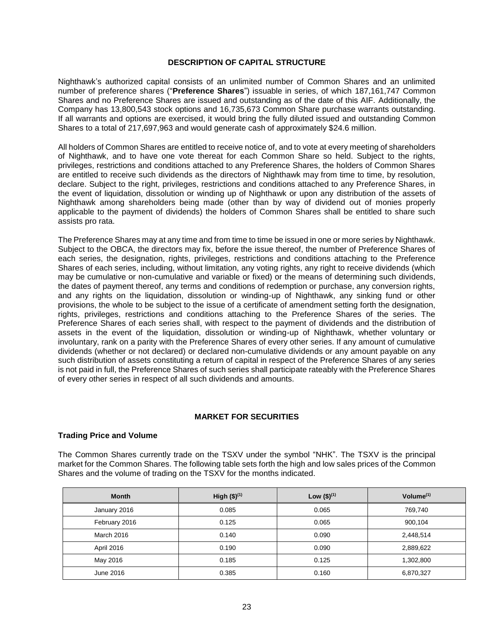### **DESCRIPTION OF CAPITAL STRUCTURE**

<span id="page-23-0"></span>Nighthawk's authorized capital consists of an unlimited number of Common Shares and an unlimited number of preference shares ("**Preference Shares**") issuable in series, of which 187,161,747 Common Shares and no Preference Shares are issued and outstanding as of the date of this AIF. Additionally, the Company has 13,800,543 stock options and 16,735,673 Common Share purchase warrants outstanding. If all warrants and options are exercised, it would bring the fully diluted issued and outstanding Common Shares to a total of 217,697,963 and would generate cash of approximately \$24.6 million.

All holders of Common Shares are entitled to receive notice of, and to vote at every meeting of shareholders of Nighthawk, and to have one vote thereat for each Common Share so held. Subject to the rights, privileges, restrictions and conditions attached to any Preference Shares, the holders of Common Shares are entitled to receive such dividends as the directors of Nighthawk may from time to time, by resolution, declare. Subject to the right, privileges, restrictions and conditions attached to any Preference Shares, in the event of liquidation, dissolution or winding up of Nighthawk or upon any distribution of the assets of Nighthawk among shareholders being made (other than by way of dividend out of monies properly applicable to the payment of dividends) the holders of Common Shares shall be entitled to share such assists pro rata.

The Preference Shares may at any time and from time to time be issued in one or more series by Nighthawk. Subject to the OBCA, the directors may fix, before the issue thereof, the number of Preference Shares of each series, the designation, rights, privileges, restrictions and conditions attaching to the Preference Shares of each series, including, without limitation, any voting rights, any right to receive dividends (which may be cumulative or non-cumulative and variable or fixed) or the means of determining such dividends, the dates of payment thereof, any terms and conditions of redemption or purchase, any conversion rights, and any rights on the liquidation, dissolution or winding-up of Nighthawk, any sinking fund or other provisions, the whole to be subject to the issue of a certificate of amendment setting forth the designation, rights, privileges, restrictions and conditions attaching to the Preference Shares of the series. The Preference Shares of each series shall, with respect to the payment of dividends and the distribution of assets in the event of the liquidation, dissolution or winding-up of Nighthawk, whether voluntary or involuntary, rank on a parity with the Preference Shares of every other series. If any amount of cumulative dividends (whether or not declared) or declared non-cumulative dividends or any amount payable on any such distribution of assets constituting a return of capital in respect of the Preference Shares of any series is not paid in full, the Preference Shares of such series shall participate rateably with the Preference Shares of every other series in respect of all such dividends and amounts.

# **MARKET FOR SECURITIES**

### <span id="page-23-1"></span>**Trading Price and Volume**

The Common Shares currently trade on the TSXV under the symbol "NHK". The TSXV is the principal market for the Common Shares. The following table sets forth the high and low sales prices of the Common Shares and the volume of trading on the TSXV for the months indicated.

| <b>Month</b>  | High $($)^{(1)}$ | Low $($)^{(1)}$ | Volume $(1)$ |
|---------------|------------------|-----------------|--------------|
| January 2016  | 0.085            | 0.065           | 769,740      |
| February 2016 | 0.125            | 0.065           | 900,104      |
| March 2016    | 0.140            | 0.090           | 2,448,514    |
| April 2016    | 0.190            | 0.090           | 2,889,622    |
| May 2016      | 0.185            | 0.125           | 1,302,800    |
| June 2016     | 0.385            | 0.160           | 6,870,327    |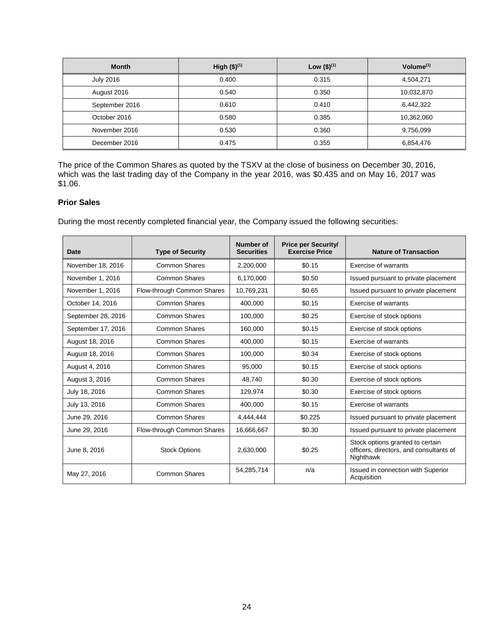| <b>Month</b>     | High $($)^{(1)}$ | Low $($)^{(1)}$ | Volume $(1)$ |
|------------------|------------------|-----------------|--------------|
| <b>July 2016</b> | 0.400            | 0.315           | 4,504,271    |
| August 2016      | 0.540            | 0.350           | 10,032,870   |
| September 2016   | 0.610            | 0.410           | 6,442,322    |
| October 2016     | 0.580            | 0.385           | 10,362,060   |
| November 2016    | 0.530            | 0.360           | 9,756,099    |
| December 2016    | 0.475            | 0.355           | 6,854,476    |

The price of the Common Shares as quoted by the TSXV at the close of business on December 30, 2016, which was the last trading day of the Company in the year 2016, was \$0.435 and on May 16, 2017 was \$1.06.

# **Prior Sales**

During the most recently completed financial year, the Company issued the following securities:

| Date               | <b>Type of Security</b>    | Number of<br><b>Securities</b> | <b>Price per Security/</b><br><b>Exercise Price</b> | <b>Nature of Transaction</b>                                                             |
|--------------------|----------------------------|--------------------------------|-----------------------------------------------------|------------------------------------------------------------------------------------------|
| November 18, 2016  | <b>Common Shares</b>       | 2,200,000                      | \$0.15                                              | Exercise of warrants                                                                     |
| November 1, 2016   | <b>Common Shares</b>       | 6,170,000                      | \$0.50                                              | Issued pursuant to private placement                                                     |
| November 1, 2016   | Flow-through Common Shares | 10,769,231                     | \$0.65                                              | Issued pursuant to private placement                                                     |
| October 14, 2016   | Common Shares              | 400,000                        | \$0.15                                              | Exercise of warrants                                                                     |
| September 28, 2016 | <b>Common Shares</b>       | 100,000                        | \$0.25                                              | Exercise of stock options                                                                |
| September 17, 2016 | <b>Common Shares</b>       | 160,000                        | \$0.15                                              | Exercise of stock options                                                                |
| August 18, 2016    | Common Shares              | 400,000                        | \$0.15                                              | Exercise of warrants                                                                     |
| August 18, 2016    | <b>Common Shares</b>       | 100.000                        | \$0.34                                              | Exercise of stock options                                                                |
| August 4, 2016     | <b>Common Shares</b>       | 95,000                         | \$0.15                                              | Exercise of stock options                                                                |
| August 3, 2016     | <b>Common Shares</b>       | 48.740                         | \$0.30                                              | Exercise of stock options                                                                |
| July 18, 2016      | Common Shares              | 129,974                        | \$0.30                                              | Exercise of stock options                                                                |
| July 13, 2016      | <b>Common Shares</b>       | 400,000                        | \$0.15                                              | Exercise of warrants                                                                     |
| June 29, 2016      | Common Shares              | 4,444,444                      | \$0.225                                             | Issued pursuant to private placement                                                     |
| June 29, 2016      | Flow-through Common Shares | 16,666,667                     | \$0.30                                              | Issued pursuant to private placement                                                     |
| June 8, 2016       | <b>Stock Options</b>       | 2,630,000                      | \$0.25                                              | Stock options granted to certain<br>officers, directors, and consultants of<br>Nighthawk |
| May 27, 2016       | <b>Common Shares</b>       | 54,285,714                     | n/a                                                 | Issued in connection with Superior<br>Acquisition                                        |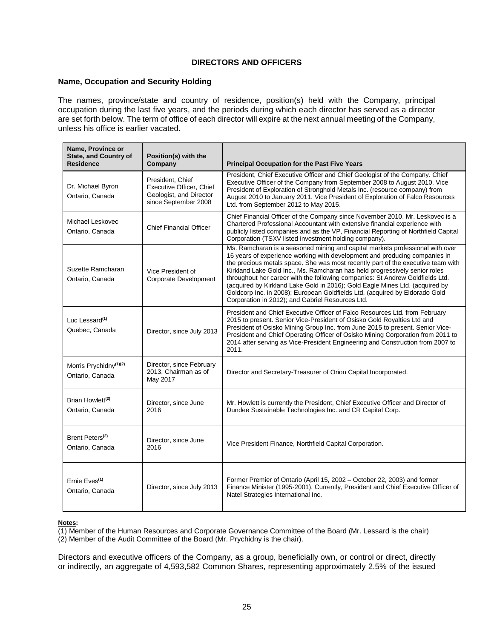## **DIRECTORS AND OFFICERS**

## <span id="page-25-0"></span>**Name, Occupation and Security Holding**

The names, province/state and country of residence, position(s) held with the Company, principal occupation during the last five years, and the periods during which each director has served as a director are set forth below. The term of office of each director will expire at the next annual meeting of the Company, unless his office is earlier vacated.

| Name, Province or<br><b>State, and Country of</b><br><b>Residence</b> | Position(s) with the<br>Company                                                                 | <b>Principal Occupation for the Past Five Years</b>                                                                                                                                                                                                                                                                                                                                                                                                                                                                                                                                                                               |  |
|-----------------------------------------------------------------------|-------------------------------------------------------------------------------------------------|-----------------------------------------------------------------------------------------------------------------------------------------------------------------------------------------------------------------------------------------------------------------------------------------------------------------------------------------------------------------------------------------------------------------------------------------------------------------------------------------------------------------------------------------------------------------------------------------------------------------------------------|--|
| Dr. Michael Byron<br>Ontario, Canada                                  | President, Chief<br>Executive Officer, Chief<br>Geologist, and Director<br>since September 2008 | President, Chief Executive Officer and Chief Geologist of the Company. Chief<br>Executive Officer of the Company from September 2008 to August 2010. Vice<br>President of Exploration of Stronghold Metals Inc. (resource company) from<br>August 2010 to January 2011. Vice President of Exploration of Falco Resources<br>Ltd. from September 2012 to May 2015.                                                                                                                                                                                                                                                                 |  |
| Michael Leskovec<br>Ontario, Canada                                   | <b>Chief Financial Officer</b>                                                                  | Chief Financial Officer of the Company since November 2010. Mr. Leskovec is a<br>Chartered Professional Accountant with extensive financial experience with<br>publicly listed companies and as the VP, Financial Reporting of Northfield Capital<br>Corporation (TSXV listed investment holding company).                                                                                                                                                                                                                                                                                                                        |  |
| Suzette Ramcharan<br>Ontario, Canada                                  | Vice President of<br>Corporate Development                                                      | Ms. Ramcharan is a seasoned mining and capital markets professional with over<br>16 years of experience working with development and producing companies in<br>the precious metals space. She was most recently part of the executive team with<br>Kirkland Lake Gold Inc., Ms. Ramcharan has held progressively senior roles<br>throughout her career with the following companies: St Andrew Goldfields Ltd.<br>(acquired by Kirkland Lake Gold in 2016); Gold Eagle Mines Ltd. (acquired by<br>Goldcorp Inc. in 2008); European Goldfields Ltd, (acquired by Eldorado Gold<br>Corporation in 2012); and Gabriel Resources Ltd. |  |
| Luc Lessard <sup>(1)</sup><br>Quebec, Canada                          | Director, since July 2013                                                                       | President and Chief Executive Officer of Falco Resources Ltd. from February<br>2015 to present. Senior Vice-President of Osisko Gold Royalties Ltd and<br>President of Osisko Mining Group Inc. from June 2015 to present. Senior Vice-<br>President and Chief Operating Officer of Osisko Mining Corporation from 2011 to<br>2014 after serving as Vice-President Engineering and Construction from 2007 to<br>2011.                                                                                                                                                                                                             |  |
| Morris Prychidny <sup>(1)(2)</sup><br>Ontario, Canada                 | Director, since February<br>2013. Chairman as of<br>May 2017                                    | Director and Secretary-Treasurer of Orion Capital Incorporated.                                                                                                                                                                                                                                                                                                                                                                                                                                                                                                                                                                   |  |
| Brian Howlett <sup>(2)</sup><br>Ontario, Canada                       | Director, since June<br>2016                                                                    | Mr. Howlett is currently the President, Chief Executive Officer and Director of<br>Dundee Sustainable Technologies Inc. and CR Capital Corp.                                                                                                                                                                                                                                                                                                                                                                                                                                                                                      |  |
| Brent Peters <sup>(2)</sup><br>Ontario, Canada                        | Director, since June<br>2016                                                                    | Vice President Finance, Northfield Capital Corporation.                                                                                                                                                                                                                                                                                                                                                                                                                                                                                                                                                                           |  |
| Ernie Eves <sup>(1)</sup><br>Ontario, Canada                          | Director, since July 2013                                                                       | Former Premier of Ontario (April 15, 2002 - October 22, 2003) and former<br>Finance Minister (1995-2001). Currently, President and Chief Executive Officer of<br>Natel Strategies International Inc.                                                                                                                                                                                                                                                                                                                                                                                                                              |  |

### **Notes:**

(1) Member of the Human Resources and Corporate Governance Committee of the Board (Mr. Lessard is the chair)

(2) Member of the Audit Committee of the Board (Mr. Prychidny is the chair).

Directors and executive officers of the Company, as a group, beneficially own, or control or direct, directly or indirectly, an aggregate of 4,593,582 Common Shares, representing approximately 2.5% of the issued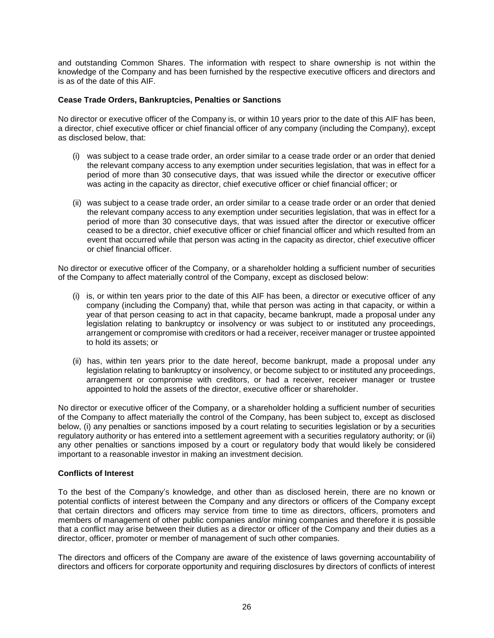and outstanding Common Shares. The information with respect to share ownership is not within the knowledge of the Company and has been furnished by the respective executive officers and directors and is as of the date of this AIF.

### **Cease Trade Orders, Bankruptcies, Penalties or Sanctions**

No director or executive officer of the Company is, or within 10 years prior to the date of this AIF has been, a director, chief executive officer or chief financial officer of any company (including the Company), except as disclosed below, that:

- (i) was subject to a cease trade order, an order similar to a cease trade order or an order that denied the relevant company access to any exemption under securities legislation, that was in effect for a period of more than 30 consecutive days, that was issued while the director or executive officer was acting in the capacity as director, chief executive officer or chief financial officer; or
- (ii) was subject to a cease trade order, an order similar to a cease trade order or an order that denied the relevant company access to any exemption under securities legislation, that was in effect for a period of more than 30 consecutive days, that was issued after the director or executive officer ceased to be a director, chief executive officer or chief financial officer and which resulted from an event that occurred while that person was acting in the capacity as director, chief executive officer or chief financial officer.

No director or executive officer of the Company, or a shareholder holding a sufficient number of securities of the Company to affect materially control of the Company, except as disclosed below:

- (i) is, or within ten years prior to the date of this AIF has been, a director or executive officer of any company (including the Company) that, while that person was acting in that capacity, or within a year of that person ceasing to act in that capacity, became bankrupt, made a proposal under any legislation relating to bankruptcy or insolvency or was subject to or instituted any proceedings, arrangement or compromise with creditors or had a receiver, receiver manager or trustee appointed to hold its assets; or
- (ii) has, within ten years prior to the date hereof, become bankrupt, made a proposal under any legislation relating to bankruptcy or insolvency, or become subject to or instituted any proceedings, arrangement or compromise with creditors, or had a receiver, receiver manager or trustee appointed to hold the assets of the director, executive officer or shareholder.

No director or executive officer of the Company, or a shareholder holding a sufficient number of securities of the Company to affect materially the control of the Company, has been subject to, except as disclosed below, (i) any penalties or sanctions imposed by a court relating to securities legislation or by a securities regulatory authority or has entered into a settlement agreement with a securities regulatory authority; or (ii) any other penalties or sanctions imposed by a court or regulatory body that would likely be considered important to a reasonable investor in making an investment decision.

### **Conflicts of Interest**

To the best of the Company's knowledge, and other than as disclosed herein, there are no known or potential conflicts of interest between the Company and any directors or officers of the Company except that certain directors and officers may service from time to time as directors, officers, promoters and members of management of other public companies and/or mining companies and therefore it is possible that a conflict may arise between their duties as a director or officer of the Company and their duties as a director, officer, promoter or member of management of such other companies.

The directors and officers of the Company are aware of the existence of laws governing accountability of directors and officers for corporate opportunity and requiring disclosures by directors of conflicts of interest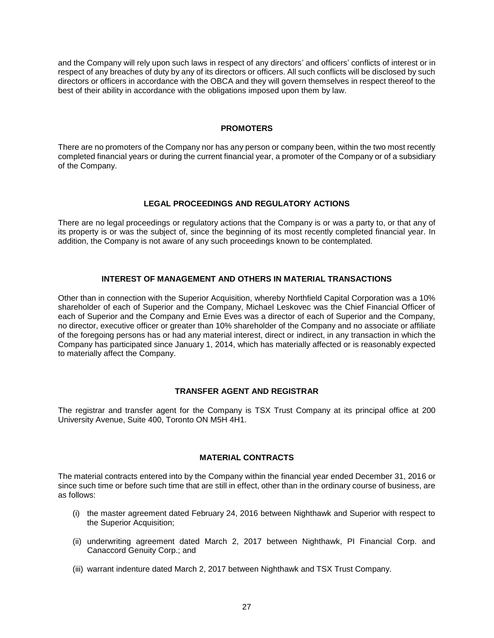and the Company will rely upon such laws in respect of any directors' and officers' conflicts of interest or in respect of any breaches of duty by any of its directors or officers. All such conflicts will be disclosed by such directors or officers in accordance with the OBCA and they will govern themselves in respect thereof to the best of their ability in accordance with the obligations imposed upon them by law.

### **PROMOTERS**

<span id="page-27-1"></span><span id="page-27-0"></span>There are no promoters of the Company nor has any person or company been, within the two most recently completed financial years or during the current financial year, a promoter of the Company or of a subsidiary of the Company.

# **LEGAL PROCEEDINGS AND REGULATORY ACTIONS**

<span id="page-27-2"></span>There are no legal proceedings or regulatory actions that the Company is or was a party to, or that any of its property is or was the subject of, since the beginning of its most recently completed financial year. In addition, the Company is not aware of any such proceedings known to be contemplated.

# **INTEREST OF MANAGEMENT AND OTHERS IN MATERIAL TRANSACTIONS**

Other than in connection with the Superior Acquisition, whereby Northfield Capital Corporation was a 10% shareholder of each of Superior and the Company, Michael Leskovec was the Chief Financial Officer of each of Superior and the Company and Ernie Eves was a director of each of Superior and the Company, no director, executive officer or greater than 10% shareholder of the Company and no associate or affiliate of the foregoing persons has or had any material interest, direct or indirect, in any transaction in which the Company has participated since January 1, 2014, which has materially affected or is reasonably expected to materially affect the Company.

# **TRANSFER AGENT AND REGISTRAR**

<span id="page-27-4"></span><span id="page-27-3"></span>The registrar and transfer agent for the Company is TSX Trust Company at its principal office at 200 University Avenue, Suite 400, Toronto ON M5H 4H1.

### **MATERIAL CONTRACTS**

The material contracts entered into by the Company within the financial year ended December 31, 2016 or since such time or before such time that are still in effect, other than in the ordinary course of business, are as follows:

- (i) the master agreement dated February 24, 2016 between Nighthawk and Superior with respect to the Superior Acquisition;
- (ii) underwriting agreement dated March 2, 2017 between Nighthawk, PI Financial Corp. and Canaccord Genuity Corp.; and
- (iii) warrant indenture dated March 2, 2017 between Nighthawk and TSX Trust Company.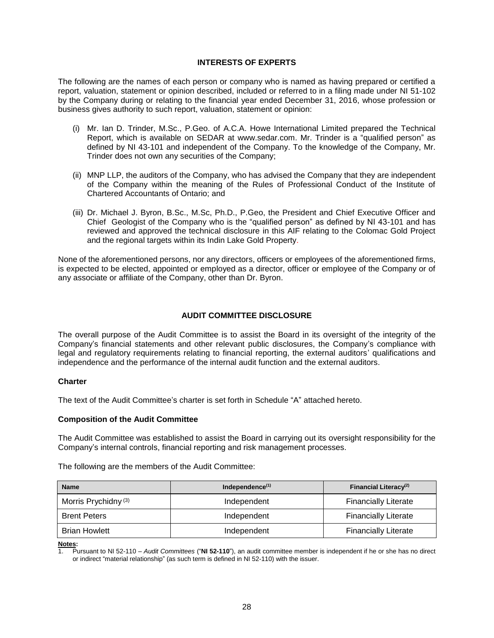## **INTERESTS OF EXPERTS**

<span id="page-28-0"></span>The following are the names of each person or company who is named as having prepared or certified a report, valuation, statement or opinion described, included or referred to in a filing made under NI 51-102 by the Company during or relating to the financial year ended December 31, 2016, whose profession or business gives authority to such report, valuation, statement or opinion:

- (i) Mr. Ian D. Trinder, M.Sc., P.Geo. of A.C.A. Howe International Limited prepared the Technical Report, which is available on SEDAR at www.sedar.com. Mr. Trinder is a "qualified person" as defined by NI 43-101 and independent of the Company. To the knowledge of the Company, Mr. Trinder does not own any securities of the Company;
- (ii) MNP LLP, the auditors of the Company, who has advised the Company that they are independent of the Company within the meaning of the Rules of Professional Conduct of the Institute of Chartered Accountants of Ontario; and
- (iii) Dr. Michael J. Byron, B.Sc., M.Sc, Ph.D., P.Geo, the President and Chief Executive Officer and Chief Geologist of the Company who is the "qualified person" as defined by NI 43-101 and has reviewed and approved the technical disclosure in this AIF relating to the Colomac Gold Project and the regional targets within its Indin Lake Gold Property.

<span id="page-28-1"></span>None of the aforementioned persons, nor any directors, officers or employees of the aforementioned firms, is expected to be elected, appointed or employed as a director, officer or employee of the Company or of any associate or affiliate of the Company, other than Dr. Byron.

# **AUDIT COMMITTEE DISCLOSURE**

The overall purpose of the Audit Committee is to assist the Board in its oversight of the integrity of the Company's financial statements and other relevant public disclosures, the Company's compliance with legal and regulatory requirements relating to financial reporting, the external auditors' qualifications and independence and the performance of the internal audit function and the external auditors.

### **Charter**

The text of the Audit Committee's charter is set forth in Schedule "A" attached hereto.

### **Composition of the Audit Committee**

The Audit Committee was established to assist the Board in carrying out its oversight responsibility for the Company's internal controls, financial reporting and risk management processes.

The following are the members of the Audit Committee:

| <b>Name</b>                     | Independence $(1)$ | Financial Literacy <sup>(2)</sup> |
|---------------------------------|--------------------|-----------------------------------|
| Morris Prychidny <sup>(3)</sup> | Independent        | <b>Financially Literate</b>       |
| <b>Brent Peters</b>             | Independent        | <b>Financially Literate</b>       |
| <b>Brian Howlett</b>            | Independent        | <b>Financially Literate</b>       |

**Notes:**

1. Pursuant to NI 52-110 – *Audit Committees* ("**NI 52-110**"), an audit committee member is independent if he or she has no direct or indirect "material relationship" (as such term is defined in NI 52-110) with the issuer.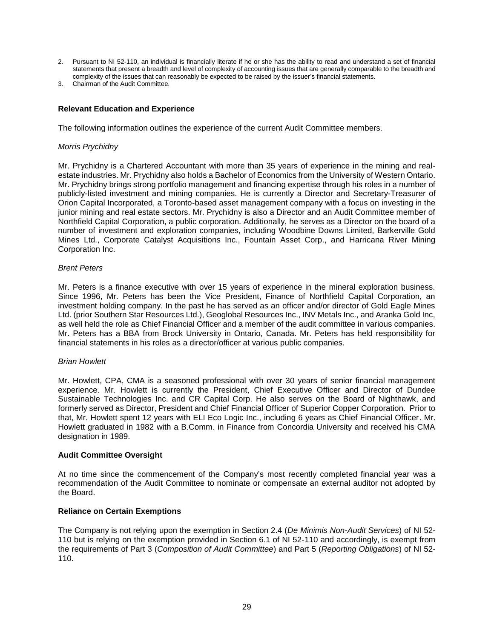- 2. Pursuant to NI 52-110, an individual is financially literate if he or she has the ability to read and understand a set of financial statements that present a breadth and level of complexity of accounting issues that are generally comparable to the breadth and complexity of the issues that can reasonably be expected to be raised by the issuer's financial statements.
- 3. Chairman of the Audit Committee.

# **Relevant Education and Experience**

The following information outlines the experience of the current Audit Committee members.

## *Morris Prychidny*

Mr. Prychidny is a Chartered Accountant with more than 35 years of experience in the mining and realestate industries. Mr. Prychidny also holds a Bachelor of Economics from the University of Western Ontario. Mr. Prychidny brings strong portfolio management and financing expertise through his roles in a number of publicly-listed investment and mining companies. He is currently a Director and Secretary-Treasurer of Orion Capital Incorporated, a Toronto-based asset management company with a focus on investing in the junior mining and real estate sectors. Mr. Prychidny is also a Director and an Audit Committee member of Northfield Capital Corporation, a public corporation. Additionally, he serves as a Director on the board of a number of investment and exploration companies, including Woodbine Downs Limited, Barkerville Gold Mines Ltd., Corporate Catalyst Acquisitions Inc., Fountain Asset Corp., and Harricana River Mining Corporation Inc.

## *Brent Peters*

Mr. Peters is a finance executive with over 15 years of experience in the mineral exploration business. Since 1996, Mr. Peters has been the Vice President, Finance of Northfield Capital Corporation, an investment holding company. In the past he has served as an officer and/or director of Gold Eagle Mines Ltd. (prior Southern Star Resources Ltd.), Geoglobal Resources Inc., INV Metals Inc., and Aranka Gold Inc, as well held the role as Chief Financial Officer and a member of the audit committee in various companies. Mr. Peters has a BBA from Brock University in Ontario, Canada. Mr. Peters has held responsibility for financial statements in his roles as a director/officer at various public companies.

# *Brian Howlett*

Mr. Howlett, CPA, CMA is a seasoned professional with over 30 years of senior financial management experience. Mr. Howlett is currently the President, Chief Executive Officer and Director of Dundee Sustainable Technologies Inc. and CR Capital Corp. He also serves on the Board of Nighthawk, and formerly served as Director, President and Chief Financial Officer of Superior Copper Corporation. Prior to that, Mr. Howlett spent 12 years with ELI Eco Logic Inc., including 6 years as Chief Financial Officer. Mr. Howlett graduated in 1982 with a B.Comm. in Finance from Concordia University and received his CMA designation in 1989.

### **Audit Committee Oversight**

At no time since the commencement of the Company's most recently completed financial year was a recommendation of the Audit Committee to nominate or compensate an external auditor not adopted by the Board.

# **Reliance on Certain Exemptions**

The Company is not relying upon the exemption in Section 2.4 (*De Minimis Non-Audit Services*) of NI 52- 110 but is relying on the exemption provided in Section 6.1 of NI 52-110 and accordingly, is exempt from the requirements of Part 3 (*Composition of Audit Committee*) and Part 5 (*Reporting Obligations*) of NI 52- 110.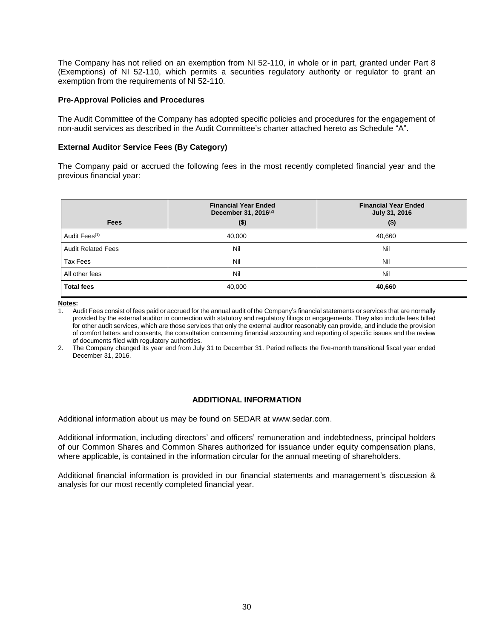The Company has not relied on an exemption from NI 52-110, in whole or in part, granted under Part 8 (Exemptions) of NI 52-110, which permits a securities regulatory authority or regulator to grant an exemption from the requirements of NI 52-110.

### **Pre-Approval Policies and Procedures**

The Audit Committee of the Company has adopted specific policies and procedures for the engagement of non-audit services as described in the Audit Committee's charter attached hereto as Schedule "A".

### **External Auditor Service Fees (By Category)**

The Company paid or accrued the following fees in the most recently completed financial year and the previous financial year:

|                           | <b>Financial Year Ended</b><br>December 31, 2016 <sup>(2)</sup> | <b>Financial Year Ended</b><br>July 31, 2016 |
|---------------------------|-----------------------------------------------------------------|----------------------------------------------|
| <b>Fees</b>               | $($ \$)                                                         | $($ \$)                                      |
| Audit Fees <sup>(1)</sup> | 40,000                                                          | 40,660                                       |
| <b>Audit Related Fees</b> | Nil                                                             | Nil                                          |
| Tax Fees                  | Nil                                                             | Nil                                          |
| All other fees            | Nil                                                             | Nil                                          |
| <b>Total fees</b>         | 40,000                                                          | 40,660                                       |

**Notes:**

1. Audit Fees consist of fees paid or accrued for the annual audit of the Company's financial statements or services that are normally provided by the external auditor in connection with statutory and regulatory filings or engagements. They also include fees billed for other audit services, which are those services that only the external auditor reasonably can provide, and include the provision of comfort letters and consents, the consultation concerning financial accounting and reporting of specific issues and the review of documents filed with regulatory authorities.

<span id="page-30-0"></span>2. The Company changed its year end from July 31 to December 31. Period reflects the five-month transitional fiscal year ended December 31, 2016.

# **ADDITIONAL INFORMATION**

Additional information about us may be found on SEDAR at www.sedar.com.

Additional information, including directors' and officers' remuneration and indebtedness, principal holders of our Common Shares and Common Shares authorized for issuance under equity compensation plans, where applicable, is contained in the information circular for the annual meeting of shareholders.

Additional financial information is provided in our financial statements and management's discussion & analysis for our most recently completed financial year.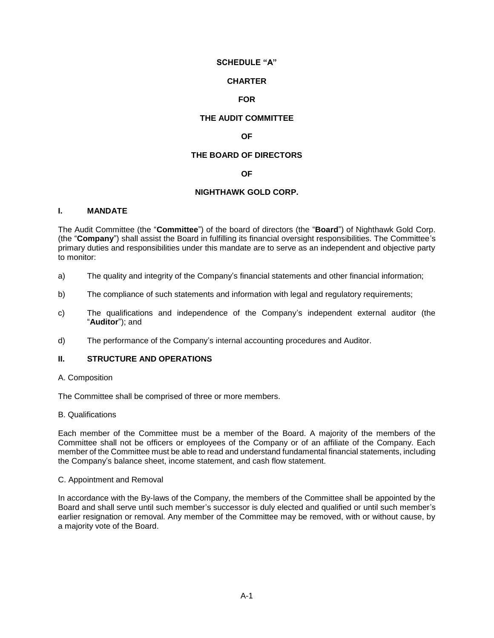## **SCHEDULE "A"**

### **CHARTER**

# **FOR**

# **THE AUDIT COMMITTEE**

# **OF**

## **THE BOARD OF DIRECTORS**

### **OF**

## **NIGHTHAWK GOLD CORP.**

### <span id="page-31-0"></span>**I. MANDATE**

The Audit Committee (the "**Committee**") of the board of directors (the "**Board**") of Nighthawk Gold Corp. (the "**Company**") shall assist the Board in fulfilling its financial oversight responsibilities. The Committee's primary duties and responsibilities under this mandate are to serve as an independent and objective party to monitor:

- a) The quality and integrity of the Company's financial statements and other financial information;
- b) The compliance of such statements and information with legal and regulatory requirements;
- c) The qualifications and independence of the Company's independent external auditor (the "**Auditor**"); and
- d) The performance of the Company's internal accounting procedures and Auditor.

## **II. STRUCTURE AND OPERATIONS**

A. Composition

The Committee shall be comprised of three or more members.

### B. Qualifications

Each member of the Committee must be a member of the Board. A majority of the members of the Committee shall not be officers or employees of the Company or of an affiliate of the Company. Each member of the Committee must be able to read and understand fundamental financial statements, including the Company's balance sheet, income statement, and cash flow statement.

### C. Appointment and Removal

In accordance with the By-laws of the Company, the members of the Committee shall be appointed by the Board and shall serve until such member's successor is duly elected and qualified or until such member's earlier resignation or removal. Any member of the Committee may be removed, with or without cause, by a majority vote of the Board.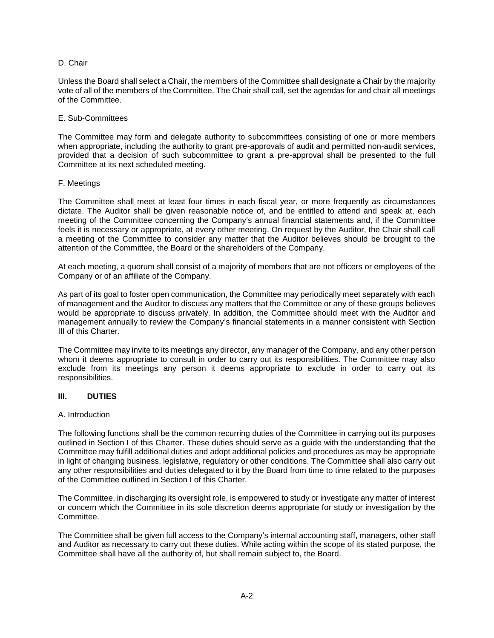### D. Chair

Unless the Board shall select a Chair, the members of the Committee shall designate a Chair by the majority vote of all of the members of the Committee. The Chair shall call, set the agendas for and chair all meetings of the Committee.

### E. Sub-Committees

The Committee may form and delegate authority to subcommittees consisting of one or more members when appropriate, including the authority to grant pre-approvals of audit and permitted non-audit services, provided that a decision of such subcommittee to grant a pre-approval shall be presented to the full Committee at its next scheduled meeting.

## F. Meetings

The Committee shall meet at least four times in each fiscal year, or more frequently as circumstances dictate. The Auditor shall be given reasonable notice of, and be entitled to attend and speak at, each meeting of the Committee concerning the Company's annual financial statements and, if the Committee feels it is necessary or appropriate, at every other meeting. On request by the Auditor, the Chair shall call a meeting of the Committee to consider any matter that the Auditor believes should be brought to the attention of the Committee, the Board or the shareholders of the Company.

At each meeting, a quorum shall consist of a majority of members that are not officers or employees of the Company or of an affiliate of the Company.

As part of its goal to foster open communication, the Committee may periodically meet separately with each of management and the Auditor to discuss any matters that the Committee or any of these groups believes would be appropriate to discuss privately. In addition, the Committee should meet with the Auditor and management annually to review the Company's financial statements in a manner consistent with Section III of this Charter.

The Committee may invite to its meetings any director, any manager of the Company, and any other person whom it deems appropriate to consult in order to carry out its responsibilities. The Committee may also exclude from its meetings any person it deems appropriate to exclude in order to carry out its responsibilities.

### **III. DUTIES**

### A. Introduction

The following functions shall be the common recurring duties of the Committee in carrying out its purposes outlined in Section I of this Charter. These duties should serve as a guide with the understanding that the Committee may fulfill additional duties and adopt additional policies and procedures as may be appropriate in light of changing business, legislative, regulatory or other conditions. The Committee shall also carry out any other responsibilities and duties delegated to it by the Board from time to time related to the purposes of the Committee outlined in Section I of this Charter.

The Committee, in discharging its oversight role, is empowered to study or investigate any matter of interest or concern which the Committee in its sole discretion deems appropriate for study or investigation by the Committee.

The Committee shall be given full access to the Company's internal accounting staff, managers, other staff and Auditor as necessary to carry out these duties. While acting within the scope of its stated purpose, the Committee shall have all the authority of, but shall remain subject to, the Board.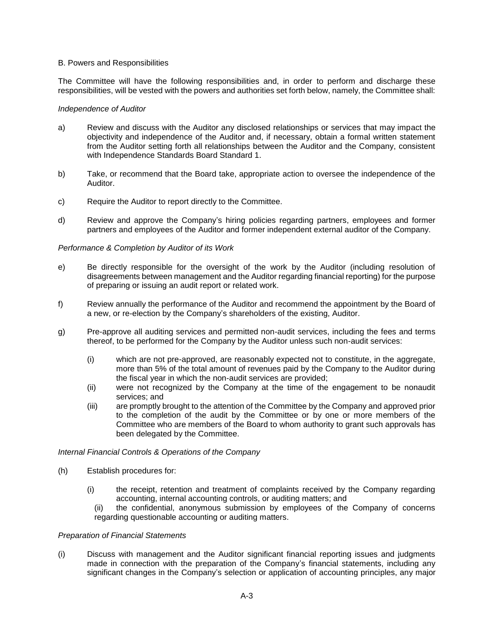### B. Powers and Responsibilities

The Committee will have the following responsibilities and, in order to perform and discharge these responsibilities, will be vested with the powers and authorities set forth below, namely, the Committee shall:

### *Independence of Auditor*

- a) Review and discuss with the Auditor any disclosed relationships or services that may impact the objectivity and independence of the Auditor and, if necessary, obtain a formal written statement from the Auditor setting forth all relationships between the Auditor and the Company, consistent with Independence Standards Board Standard 1.
- b) Take, or recommend that the Board take, appropriate action to oversee the independence of the Auditor.
- c) Require the Auditor to report directly to the Committee.
- d) Review and approve the Company's hiring policies regarding partners, employees and former partners and employees of the Auditor and former independent external auditor of the Company.

### *Performance & Completion by Auditor of its Work*

- e) Be directly responsible for the oversight of the work by the Auditor (including resolution of disagreements between management and the Auditor regarding financial reporting) for the purpose of preparing or issuing an audit report or related work.
- f) Review annually the performance of the Auditor and recommend the appointment by the Board of a new, or re-election by the Company's shareholders of the existing, Auditor.
- g) Pre-approve all auditing services and permitted non-audit services, including the fees and terms thereof, to be performed for the Company by the Auditor unless such non-audit services:
	- (i) which are not pre-approved, are reasonably expected not to constitute, in the aggregate, more than 5% of the total amount of revenues paid by the Company to the Auditor during the fiscal year in which the non-audit services are provided;
	- (ii) were not recognized by the Company at the time of the engagement to be nonaudit services; and
	- (iii) are promptly brought to the attention of the Committee by the Company and approved prior to the completion of the audit by the Committee or by one or more members of the Committee who are members of the Board to whom authority to grant such approvals has been delegated by the Committee.

### *Internal Financial Controls & Operations of the Company*

- (h) Establish procedures for:
	- (i) the receipt, retention and treatment of complaints received by the Company regarding accounting, internal accounting controls, or auditing matters; and
		- (ii) the confidential, anonymous submission by employees of the Company of concerns regarding questionable accounting or auditing matters.

### *Preparation of Financial Statements*

(i) Discuss with management and the Auditor significant financial reporting issues and judgments made in connection with the preparation of the Company's financial statements, including any significant changes in the Company's selection or application of accounting principles, any major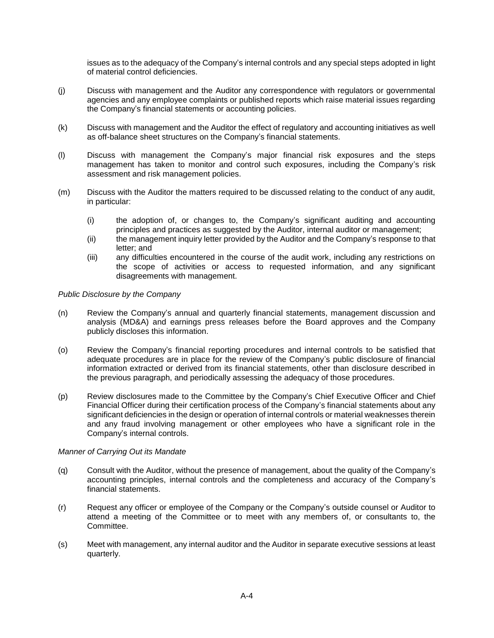issues as to the adequacy of the Company's internal controls and any special steps adopted in light of material control deficiencies.

- (j) Discuss with management and the Auditor any correspondence with regulators or governmental agencies and any employee complaints or published reports which raise material issues regarding the Company's financial statements or accounting policies.
- (k) Discuss with management and the Auditor the effect of regulatory and accounting initiatives as well as off-balance sheet structures on the Company's financial statements.
- (l) Discuss with management the Company's major financial risk exposures and the steps management has taken to monitor and control such exposures, including the Company's risk assessment and risk management policies.
- (m) Discuss with the Auditor the matters required to be discussed relating to the conduct of any audit, in particular:
	- (i) the adoption of, or changes to, the Company's significant auditing and accounting principles and practices as suggested by the Auditor, internal auditor or management;
	- (ii) the management inquiry letter provided by the Auditor and the Company's response to that letter; and
	- (iii) any difficulties encountered in the course of the audit work, including any restrictions on the scope of activities or access to requested information, and any significant disagreements with management.

### *Public Disclosure by the Company*

- (n) Review the Company's annual and quarterly financial statements, management discussion and analysis (MD&A) and earnings press releases before the Board approves and the Company publicly discloses this information.
- (o) Review the Company's financial reporting procedures and internal controls to be satisfied that adequate procedures are in place for the review of the Company's public disclosure of financial information extracted or derived from its financial statements, other than disclosure described in the previous paragraph, and periodically assessing the adequacy of those procedures.
- (p) Review disclosures made to the Committee by the Company's Chief Executive Officer and Chief Financial Officer during their certification process of the Company's financial statements about any significant deficiencies in the design or operation of internal controls or material weaknesses therein and any fraud involving management or other employees who have a significant role in the Company's internal controls.

### *Manner of Carrying Out its Mandate*

- (q) Consult with the Auditor, without the presence of management, about the quality of the Company's accounting principles, internal controls and the completeness and accuracy of the Company's financial statements.
- (r) Request any officer or employee of the Company or the Company's outside counsel or Auditor to attend a meeting of the Committee or to meet with any members of, or consultants to, the Committee.
- (s) Meet with management, any internal auditor and the Auditor in separate executive sessions at least quarterly.